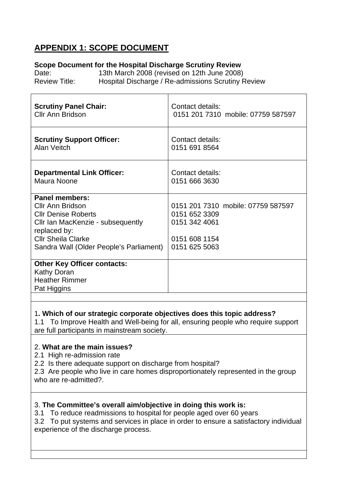# **APPENDIX 1: SCOPE DOCUMENT**

# **Scope Document for the Hospital Discharge Scrutiny Review**

Date: 13th March 2008 (revised on 12th June 2008) Review Title: Hospital Discharge / Re-admissions Scrutiny Review

| <b>Scrutiny Panel Chair:</b><br><b>Cllr Ann Bridson</b> | Contact details:<br>0151 201 7310 mobile: 07759 587597 |
|---------------------------------------------------------|--------------------------------------------------------|
| <b>Scrutiny Support Officer:</b><br>Alan Veitch         | Contact details:<br>0151 691 8564                      |
| <b>Departmental Link Officer:</b><br>Maura Noone        | Contact details:<br>0151 666 3630                      |
| <b>Panel members:</b>                                   |                                                        |
| Cllr Ann Bridson                                        | 0151 201 7310 mobile: 07759 587597                     |
| <b>Cllr Denise Roberts</b>                              | 0151 652 3309<br>0151 342 4061                         |
| Cllr Ian MacKenzie - subsequently<br>replaced by:       |                                                        |
| <b>Cllr Sheila Clarke</b>                               | 0151 608 1154                                          |
| Sandra Wall (Older People's Parliament)                 | 0151 625 5063                                          |
| <b>Other Key Officer contacts:</b>                      |                                                        |
| Kathy Doran                                             |                                                        |
| <b>Heather Rimmer</b>                                   |                                                        |
| Pat Higgins                                             |                                                        |
|                                                         |                                                        |

# 1**. Which of our strategic corporate objectives does this topic address?**

1.1 To Improve Health and Well-being for all, ensuring people who require support are full participants in mainstream society.

# 2. **What are the main issues?**

- 2.1 High re-admission rate
- 2.2 Is there adequate support on discharge from hospital?

2.3 Are people who live in care homes disproportionately represented in the group who are re-admitted?.

# 3. **The Committee's overall aim/objective in doing this work is:**

3.1 To reduce readmissions to hospital for people aged over 60 years

3.2 To put systems and services in place in order to ensure a satisfactory individual experience of the discharge process.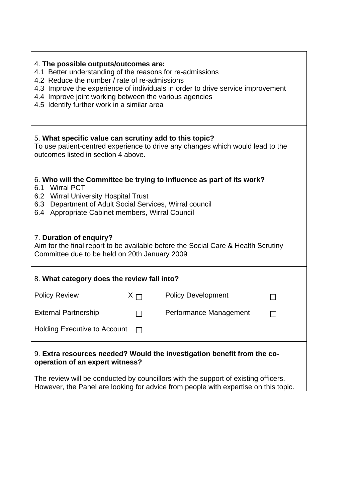| 4. The possible outputs/outcomes are:<br>4.1 Better understanding of the reasons for re-admissions<br>4.2 Reduce the number / rate of re-admissions<br>4.3 Improve the experience of individuals in order to drive service improvement<br>4.4 Improve joint working between the various agencies<br>4.5 Identify further work in a similar area |  |  |  |
|-------------------------------------------------------------------------------------------------------------------------------------------------------------------------------------------------------------------------------------------------------------------------------------------------------------------------------------------------|--|--|--|
| 5. What specific value can scrutiny add to this topic?<br>To use patient-centred experience to drive any changes which would lead to the<br>outcomes listed in section 4 above.                                                                                                                                                                 |  |  |  |
| 6. Who will the Committee be trying to influence as part of its work?<br>6.1 Wirral PCT<br>6.2 Wirral University Hospital Trust<br>6.3 Department of Adult Social Services, Wirral council<br>6.4 Appropriate Cabinet members, Wirral Council                                                                                                   |  |  |  |
| 7. Duration of enquiry?<br>Aim for the final report to be available before the Social Care & Health Scrutiny<br>Committee due to be held on 20th January 2009                                                                                                                                                                                   |  |  |  |
| 8. What category does the review fall into?                                                                                                                                                                                                                                                                                                     |  |  |  |
| <b>Policy Review</b><br><b>Policy Development</b><br>$X \sqcap$                                                                                                                                                                                                                                                                                 |  |  |  |
| <b>External Partnership</b><br>Performance Management                                                                                                                                                                                                                                                                                           |  |  |  |
| <b>Holding Executive to Account</b>                                                                                                                                                                                                                                                                                                             |  |  |  |
| 9. Extra resources needed? Would the investigation benefit from the co-<br>operation of an expert witness?<br>The review will be conducted by councillors with the support of existing officers.                                                                                                                                                |  |  |  |
| However, the Panel are looking for advice from people with expertise on this topic.                                                                                                                                                                                                                                                             |  |  |  |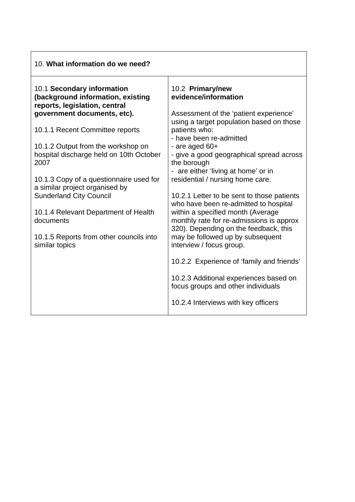| 10. What information do we need?                                                                 |                                                                                                                        |
|--------------------------------------------------------------------------------------------------|------------------------------------------------------------------------------------------------------------------------|
| 10.1 Secondary information<br>(background information, existing<br>reports, legislation, central | 10.2 Primary/new<br>evidence/information                                                                               |
| government documents, etc).                                                                      | Assessment of the 'patient experience'<br>using a target population based on those                                     |
| 10.1.1 Recent Committee reports                                                                  | patients who:<br>- have been re-admitted                                                                               |
| 10.1.2 Output from the workshop on<br>hospital discharge held on 10th October<br>2007            | - are aged $60+$<br>- give a good geographical spread across<br>the borough<br>- are either 'living at home' or in     |
| 10.1.3 Copy of a questionnaire used for<br>a similar project organised by                        | residential / nursing home care.                                                                                       |
| <b>Sunderland City Council</b>                                                                   | 10.2.1 Letter to be sent to those patients<br>who have been re-admitted to hospital                                    |
| 10.1.4 Relevant Department of Health<br>documents                                                | within a specified month (Average<br>monthly rate for re-admissions is approx<br>320). Depending on the feedback, this |
| 10.1.5 Reports from other councils into<br>similar topics                                        | may be followed up by subsequent<br>interview / focus group.                                                           |
|                                                                                                  | 10.2.2 Experience of 'family and friends'                                                                              |
|                                                                                                  | 10.2.3 Additional experiences based on<br>focus groups and other individuals                                           |
|                                                                                                  | 10.2.4 Interviews with key officers                                                                                    |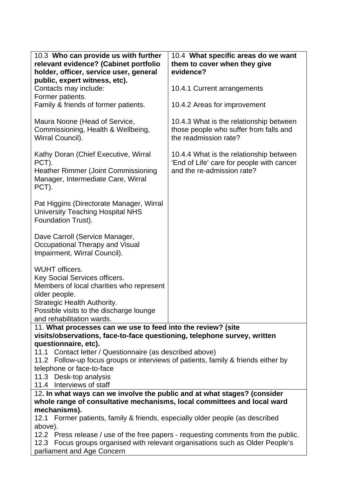| 10.3 Who can provide us with further<br>relevant evidence? (Cabinet portfolio                                  | 10.4 What specific areas do we want<br>them to cover when they give |  |
|----------------------------------------------------------------------------------------------------------------|---------------------------------------------------------------------|--|
| holder, officer, service user, general                                                                         | evidence?                                                           |  |
| public, expert witness, etc).                                                                                  |                                                                     |  |
| Contacts may include:                                                                                          | 10.4.1 Current arrangements                                         |  |
| Former patients.<br>Family & friends of former patients.                                                       | 10.4.2 Areas for improvement                                        |  |
|                                                                                                                |                                                                     |  |
| Maura Noone (Head of Service,                                                                                  | 10.4.3 What is the relationship between                             |  |
| Commissioning, Health & Wellbeing,                                                                             | those people who suffer from falls and                              |  |
| Wirral Council).                                                                                               | the readmission rate?                                               |  |
| Kathy Doran (Chief Executive, Wirral                                                                           | 10.4.4 What is the relationship between                             |  |
| PCT).                                                                                                          | 'End of Life' care for people with cancer                           |  |
| <b>Heather Rimmer (Joint Commissioning</b>                                                                     | and the re-admission rate?                                          |  |
| Manager, Intermediate Care, Wirral                                                                             |                                                                     |  |
| PCT).                                                                                                          |                                                                     |  |
| Pat Higgins (Directorate Manager, Wirral                                                                       |                                                                     |  |
| <b>University Teaching Hospital NHS</b>                                                                        |                                                                     |  |
| Foundation Trust).                                                                                             |                                                                     |  |
| Dave Carroll (Service Manager,                                                                                 |                                                                     |  |
| Occupational Therapy and Visual                                                                                |                                                                     |  |
| Impairment, Wirral Council).                                                                                   |                                                                     |  |
|                                                                                                                |                                                                     |  |
| <b>WUHT</b> officers.<br>Key Social Services officers.                                                         |                                                                     |  |
| Members of local charities who represent                                                                       |                                                                     |  |
| older people.                                                                                                  |                                                                     |  |
| Strategic Health Authority.                                                                                    |                                                                     |  |
| Possible visits to the discharge lounge                                                                        |                                                                     |  |
| and rehabilitation wards.<br>11. What processes can we use to feed into the review? (site                      |                                                                     |  |
| visits/observations, face-to-face questioning, telephone survey, written                                       |                                                                     |  |
| questionnaire, etc).                                                                                           |                                                                     |  |
| 11.1 Contact letter / Questionnaire (as described above)                                                       |                                                                     |  |
| 11.2 Follow-up focus groups or interviews of patients, family & friends either by<br>telephone or face-to-face |                                                                     |  |
| 11.3 Desk-top analysis                                                                                         |                                                                     |  |
| 11.4 Interviews of staff                                                                                       |                                                                     |  |
| 12. In what ways can we involve the public and at what stages? (consider                                       |                                                                     |  |
| whole range of consultative mechanisms, local committees and local ward                                        |                                                                     |  |
| mechanisms).<br>12.1 Former patients, family & friends, especially older people (as described                  |                                                                     |  |
| above).                                                                                                        |                                                                     |  |
| 12.2 Press release / use of the free papers - requesting comments from the public.                             |                                                                     |  |
| 12.3 Focus groups organised with relevant organisations such as Older People's                                 |                                                                     |  |
| parliament and Age Concern                                                                                     |                                                                     |  |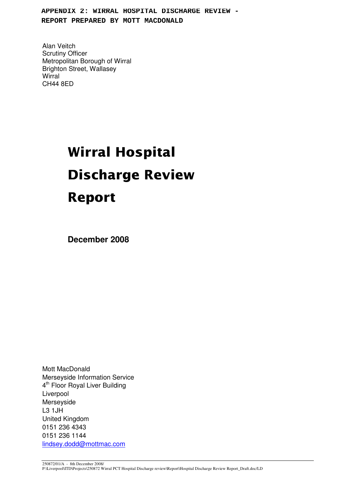**APPENDIX 2: WIRRAL HOSPITAL DISCHARGE REVIEW - REPORT PREPARED BY MOTT MACDONALD**

Alan Veitch Scrutiny Officer Metropolitan Borough of Wirral Brighton Street, Wallasey **Wirral** CH44 8ED

# Wirral Hospital **Discharge Review Report**

**December 2008**

Mott MacDonald Merseyside Information Service 4<sup>th</sup> Floor Royal Liver Building Liverpool Merseyside L3 1JH United Kingdom 0151 236 4343 0151 236 1144 lindsey.dodd@mottmac.com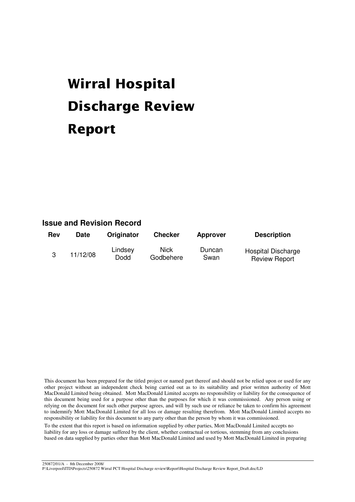# Wirral Hospital **Discharge Review Report**

# **Issue and Revision Record**

| Rev | <b>Date</b> | Originator      | <b>Checker</b>           | <b>Approver</b> | <b>Description</b>                         |
|-----|-------------|-----------------|--------------------------|-----------------|--------------------------------------------|
|     | 11/12/08    | Lindsey<br>Dodd | <b>Nick</b><br>Godbehere | Duncan<br>Swan  | Hospital Discharge<br><b>Review Report</b> |

This document has been prepared for the titled project or named part thereof and should not be relied upon or used for any other project without an independent check being carried out as to its suitability and prior written authority of Mott MacDonald Limited being obtained. Mott MacDonald Limited accepts no responsibility or liability for the consequence of this document being used for a purpose other than the purposes for which it was commissioned. Any person using or relying on the document for such other purpose agrees, and will by such use or reliance be taken to confirm his agreement to indemnify Mott MacDonald Limited for all loss or damage resulting therefrom. Mott MacDonald Limited accepts no responsibility or liability for this document to any party other than the person by whom it was commissioned.

To the extent that this report is based on information supplied by other parties, Mott MacDonald Limited accepts no liability for any loss or damage suffered by the client, whether contractual or tortious, stemming from any conclusions based on data supplied by parties other than Mott MacDonald Limited and used by Mott MacDonald Limited in preparing

250872/01/A - 8th December 2008/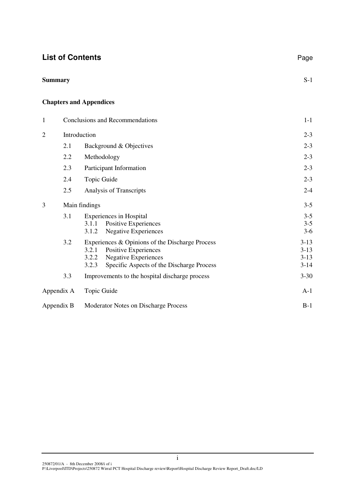|                |              | <b>List of Contents</b>                                                                                                                                                        | Page                                 |
|----------------|--------------|--------------------------------------------------------------------------------------------------------------------------------------------------------------------------------|--------------------------------------|
| <b>Summary</b> |              |                                                                                                                                                                                | $S-1$                                |
|                |              | <b>Chapters and Appendices</b>                                                                                                                                                 |                                      |
| $\mathbf{1}$   |              | Conclusions and Recommendations                                                                                                                                                | $1-1$                                |
| $\overline{2}$ | Introduction |                                                                                                                                                                                | $2 - 3$                              |
|                | 2.1          | Background & Objectives                                                                                                                                                        | $2 - 3$                              |
|                | 2.2          | Methodology                                                                                                                                                                    | $2 - 3$                              |
|                | 2.3          | Participant Information                                                                                                                                                        | $2 - 3$                              |
|                | 2.4          | Topic Guide                                                                                                                                                                    | $2 - 3$                              |
|                | 2.5          | Analysis of Transcripts                                                                                                                                                        | $2 - 4$                              |
| 3              |              | Main findings                                                                                                                                                                  | $3 - 5$                              |
|                | 3.1          | <b>Experiences</b> in Hospital<br>3.1.1<br>Positive Experiences<br><b>Negative Experiences</b><br>3.1.2                                                                        | $3 - 5$<br>$3 - 5$<br>$3-6$          |
|                | 3.2          | Experiences & Opinions of the Discharge Process<br>3.2.1<br>Positive Experiences<br><b>Negative Experiences</b><br>3.2.2<br>Specific Aspects of the Discharge Process<br>3.2.3 | $3-13$<br>$3-13$<br>$3-13$<br>$3-14$ |
|                | 3.3          | Improvements to the hospital discharge process                                                                                                                                 | $3 - 30$                             |
|                | Appendix A   | Topic Guide                                                                                                                                                                    | $A-1$                                |
|                | Appendix B   | Moderator Notes on Discharge Process                                                                                                                                           | $B-1$                                |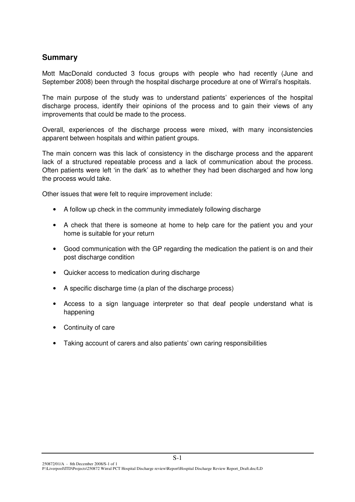# **Summary**

Mott MacDonald conducted 3 focus groups with people who had recently (June and September 2008) been through the hospital discharge procedure at one of Wirral's hospitals.

The main purpose of the study was to understand patients' experiences of the hospital discharge process, identify their opinions of the process and to gain their views of any improvements that could be made to the process.

Overall, experiences of the discharge process were mixed, with many inconsistencies apparent between hospitals and within patient groups.

The main concern was this lack of consistency in the discharge process and the apparent lack of a structured repeatable process and a lack of communication about the process. Often patients were left 'in the dark' as to whether they had been discharged and how long the process would take.

Other issues that were felt to require improvement include:

- A follow up check in the community immediately following discharge
- A check that there is someone at home to help care for the patient you and your home is suitable for your return
- Good communication with the GP regarding the medication the patient is on and their post discharge condition
- Quicker access to medication during discharge
- A specific discharge time (a plan of the discharge process)
- Access to a sign language interpreter so that deaf people understand what is happening
- Continuity of care
- Taking account of carers and also patients' own caring responsibilities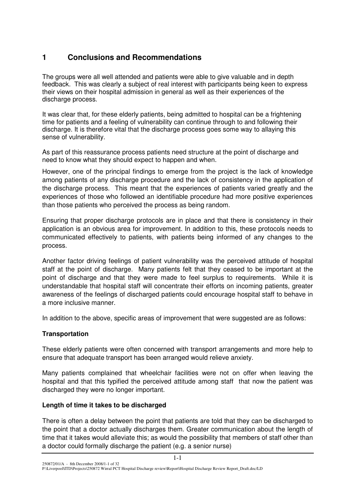# **1 Conclusions and Recommendations**

The groups were all well attended and patients were able to give valuable and in depth feedback. This was clearly a subject of real interest with participants being keen to express their views on their hospital admission in general as well as their experiences of the discharge process.

It was clear that, for these elderly patients, being admitted to hospital can be a frightening time for patients and a feeling of vulnerability can continue through to and following their discharge. It is therefore vital that the discharge process goes some way to allaying this sense of vulnerability.

As part of this reassurance process patients need structure at the point of discharge and need to know what they should expect to happen and when.

However, one of the principal findings to emerge from the project is the lack of knowledge among patients of any discharge procedure and the lack of consistency in the application of the discharge process. This meant that the experiences of patients varied greatly and the experiences of those who followed an identifiable procedure had more positive experiences than those patients who perceived the process as being random.

Ensuring that proper discharge protocols are in place and that there is consistency in their application is an obvious area for improvement. In addition to this, these protocols needs to communicated effectively to patients, with patients being informed of any changes to the process.

Another factor driving feelings of patient vulnerability was the perceived attitude of hospital staff at the point of discharge. Many patients felt that they ceased to be important at the point of discharge and that they were made to feel surplus to requirements. While it is understandable that hospital staff will concentrate their efforts on incoming patients, greater awareness of the feelings of discharged patients could encourage hospital staff to behave in a more inclusive manner.

In addition to the above, specific areas of improvement that were suggested are as follows:

# **Transportation**

These elderly patients were often concerned with transport arrangements and more help to ensure that adequate transport has been arranged would relieve anxiety.

Many patients complained that wheelchair facilities were not on offer when leaving the hospital and that this typified the perceived attitude among staff that now the patient was discharged they were no longer important.

# **Length of time it takes to be discharged**

There is often a delay between the point that patients are told that they can be discharged to the point that a doctor actually discharges them. Greater communication about the length of time that it takes would alleviate this; as would the possibility that members of staff other than a doctor could formally discharge the patient (e.g. a senior nurse)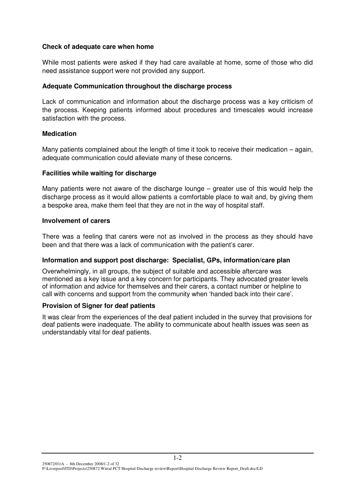#### **Check of adequate care when home**

While most patients were asked if they had care available at home, some of those who did need assistance support were not provided any support.

#### **Adequate Communication throughout the discharge process**

Lack of communication and information about the discharge process was a key criticism of the process. Keeping patients informed about procedures and timescales would increase satisfaction with the process.

#### **Medication**

Many patients complained about the length of time it took to receive their medication – again, adequate communication could alleviate many of these concerns.

#### **Facilities while waiting for discharge**

Many patients were not aware of the discharge lounge  $-$  greater use of this would help the discharge process as it would allow patients a comfortable place to wait and, by giving them a bespoke area, make them feel that they are not in the way of hospital staff.

#### **Involvement of carers**

There was a feeling that carers were not as involved in the process as they should have been and that there was a lack of communication with the patient's carer.

#### **Information and support post discharge: Specialist, GPs, information/care plan**

Overwhelmingly, in all groups, the subject of suitable and accessible aftercare was mentioned as a key issue and a key concern for participants. They advocated greater levels of information and advice for themselves and their carers, a contact number or helpline to call with concerns and support from the community when 'handed back into their care'.

#### **Provision of Signer for deaf patients**

It was clear from the experiences of the deaf patient included in the survey that provisions for deaf patients were inadequate. The ability to communicate about health issues was seen as understandably vital for deaf patients.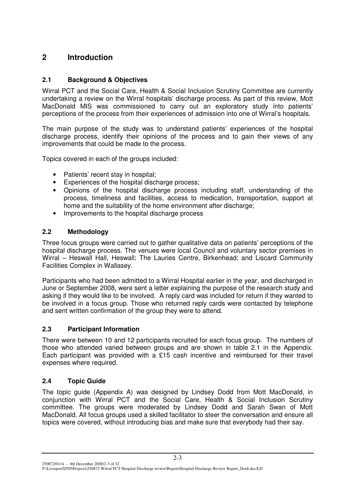# **2 Introduction**

# **2.1 Background & Objectives**

Wirral PCT and the Social Care, Health & Social Inclusion Scrutiny Committee are currently undertaking a review on the Wirral hospitals' discharge process. As part of this review, Mott MacDonald MIS was commissioned to carry out an exploratory study into patients' perceptions of the process from their experiences of admission into one of Wirral's hospitals.

The main purpose of the study was to understand patients' experiences of the hospital discharge process, identify their opinions of the process and to gain their views of any improvements that could be made to the process.

Topics covered in each of the groups included:

- Patients' recent stay in hospital:
- Experiences of the hospital discharge process;
- Opinions of the hospital discharge process including staff, understanding of the process, timeliness and facilities, access to medication, transportation, support at home and the suitability of the home environment after discharge;
- Improvements to the hospital discharge process

# **2.2 Methodology**

Three focus groups were carried out to gather qualitative data on patients' perceptions of the hospital discharge process. The venues were local Council and voluntary sector premises in Wirral – Heswall Hall, Heswall; The Lauries Centre, Birkenhead; and Liscard Community Facilities Complex in Wallasey.

Participants who had been admitted to a Wirral Hospital earlier in the year, and discharged in June or September 2008, were sent a letter explaining the purpose of the research study and asking if they would like to be involved. A reply card was included for return if they wanted to be involved in a focus group. Those who returned reply cards were contacted by telephone and sent written confirmation of the group they were to attend.

# **2.3 Participant Information**

There were between 10 and 12 participants recruited for each focus group. The numbers of those who attended varied between groups and are shown in table 2.1 in the Appendix. Each participant was provided with a £15 cash incentive and reimbursed for their travel expenses where required.

# **2.4 Topic Guide**

The topic guide (Appendix A) was designed by Lindsey Dodd from Mott MacDonald, in conjunction with Wirral PCT and the Social Care, Health & Social Inclusion Scrutiny committee. The groups were moderated by Lindsey Dodd and Sarah Swan of Mott MacDonald. All focus groups used a skilled facilitator to steer the conversation and ensure all topics were covered, without introducing bias and make sure that everybody had their say.

250872/01/A - 8th December 2008/2-3 of 32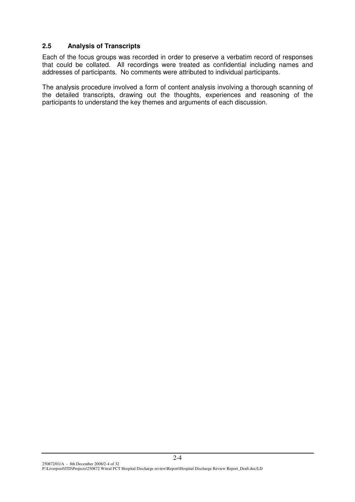### **2.5 Analysis of Transcripts**

Each of the focus groups was recorded in order to preserve a verbatim record of responses that could be collated. All recordings were treated as confidential including names and addresses of participants. No comments were attributed to individual participants.

The analysis procedure involved a form of content analysis involving a thorough scanning of the detailed transcripts, drawing out the thoughts, experiences and reasoning of the participants to understand the key themes and arguments of each discussion.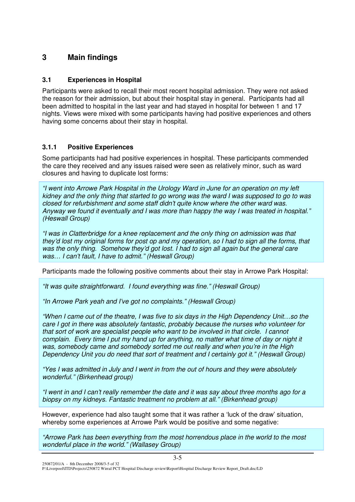# **3 Main findings**

# **3.1 Experiences in Hospital**

Participants were asked to recall their most recent hospital admission. They were not asked the reason for their admission, but about their hospital stay in general. Participants had all been admitted to hospital in the last year and had stayed in hospital for between 1 and 17 nights. Views were mixed with some participants having had positive experiences and others having some concerns about their stay in hospital.

# **3.1.1 Positive Experiences**

Some participants had had positive experiences in hospital. These participants commended the care they received and any issues raised were seen as relatively minor, such as ward closures and having to duplicate lost forms:

*"I went into Arrowe Park Hospital in the Urology Ward in June for an operation on my left* kidney and the only thing that started to go wrong was the ward I was supposed to go to was *closed for refurbishment and some staff didn't quite know where the other ward was. Anyway we found it eventually and I was more than happy the way I was treated in hospital." (Heswall Group)*

*"I was in Clatterbridge for a knee replacement and the only thing on admission was that* they'd lost my original forms for post op and my operation, so I had to sign all the forms, that *was the only thing. Somehow they'd got lost. I had to sign all again but the general care was… I can't fault, I have to admit." (Heswall Group)*

Participants made the following positive comments about their stay in Arrowe Park Hospital:

*"It was quite straightforward. I found everything was fine." (Heswall Group)*

*"In Arrowe Park yeah and I've got no complaints." (Heswall Group)*

*"When I came out of the theatre, I was five to six days in the High Dependency Unit…so the care I got in there was absolutely fantastic, probably because the nurses who volunteer for that sort of work are specialist people who want to be involved in that circle. I cannot complain. Every time I put my hand up for anything, no matter what time of day or night it was, somebody came and somebody sorted me out really and when you're in the High Dependency Unit you do need that sort of treatment and I certainly got it." (Heswall Group)*

*"Yes I was admitted in July and I went in from the out of hours and they were absolutely wonderful." (Birkenhead group)*

"I went in and I can't really remember the date and it was say about three months ago for a *biopsy on my kidneys. Fantastic treatment no problem at all." (Birkenhead group)*

However, experience had also taught some that it was rather a 'luck of the draw' situation, whereby some experiences at Arrowe Park would be positive and some negative:

*"Arrowe Park has been everything from the most horrendous place in the world to the most wonderful place in the world." (Wallasey Group)*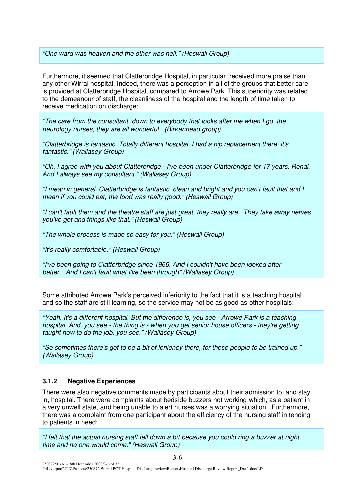*"One ward was heaven and the other was hell." (Heswall Group)*

Furthermore, it seemed that Clatterbridge Hospital, in particular, received more praise than any other Wirral hospital. Indeed, there was a perception in all of the groups that better care is provided at Clatterbridge Hospital, compared to Arrowe Park. This superiority was related to the demeanour of staff, the cleanliness of the hospital and the length of time taken to receive medication on discharge:

*"The care from the consultant, down to everybody that looks after me when I go, the neurology nurses, they are all wonderful." (Birkenhead group)*

*"Clatterbridge is fantastic. Totally different hospital. I had a hip replacement there, it's fantastic." (Wallasey Group)*

*"Oh, I agree with you about Clatterbridge - I've been under Clatterbridge for 17 years. Renal. And I always see my consultant." (Wallasey Group)*

*"I mean in general, Clatterbridge is fantastic, clean and bright and you can't fault that and I mean if you could eat, the food was really good." (Heswall Group)*

*"I can't fault them and the theatre staff are just great, they really are. They take away nerves you've got and things like that." (Heswall Group)*

*"The whole process is made so easy for you." (Heswall Group)*

*"It's really comfortable." (Heswall Group)*

*"I've been going to Clatterbridge since 1966. And I couldn't have been looked after better…And I can't fault what I've been through" (Wallasey Group)*

Some attributed Arrowe Park's perceived inferiority to the fact that it is a teaching hospital and so the staff are still learning, so the service may not be as good as other hospitals:

*"Yeah. It's a different hospital. But the difference is, you see - Arrowe Park is a teaching hospital. And, you see - the thing is - when you get senior house officers - they're getting taught how to do the job, you see." (Wallasey Group)*

*"So sometimes there's got to be a bit of leniency there, for these people to be trained up." (Wallasey Group)*

#### **3.1.2 Negative Experiences**

There were also negative comments made by participants about their admission to, and stay in, hospital. There were complaints about bedside buzzers not working which, as a patient in a very unwell state, and being unable to alert nurses was a worrying situation. Furthermore, there was a complaint from one participant about the efficiency of the nursing staff in tending to patients in need:

"I felt that the actual nursing staff fell down a bit because you could ring a buzzer at night *time and no one would come." (Heswall Group)*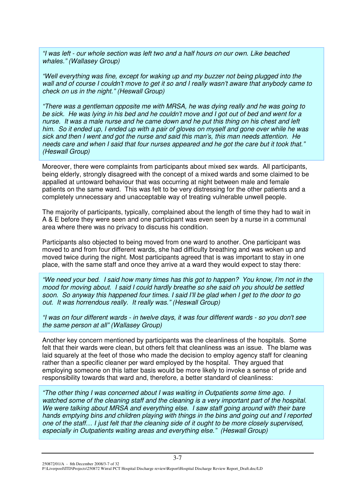*"I was left - our whole section was left two and a half hours on our own. Like beached whales." (Wallasey Group)*

*"Well everything was fine, except for waking up and my buzzer not being plugged into the* wall and of course I couldn't move to get it so and I really wasn't aware that anybody came to *check on us in the night." (Heswall Group)*

*"There was a gentleman opposite me with MRSA, he was dying really and he was going to* be sick. He was lying in his bed and he couldn't move and I got out of bed and went for a nurse. It was a male nurse and he came down and he put this thing on his chest and left him. So it ended up, I ended up with a pair of gloves on myself and gone over while he was *sick and then I went and got the nurse and said this man's, this man needs attention. He needs care and when I said that four nurses appeared and he got the care but it took that." (Heswall Group)*

Moreover, there were complaints from participants about mixed sex wards. All participants, being elderly, strongly disagreed with the concept of a mixed wards and some claimed to be appalled at untoward behaviour that was occurring at night between male and female patients on the same ward. This was felt to be very distressing for the other patients and a completely unnecessary and unacceptable way of treating vulnerable unwell people.

The majority of participants, typically, complained about the length of time they had to wait in A & E before they were seen and one participant was even seen by a nurse in a communal area where there was no privacy to discuss his condition.

Participants also objected to being moved from one ward to another. One participant was moved to and from four different wards, she had difficulty breathing and was woken up and moved twice during the night. Most participants agreed that is was important to stay in one place, with the same staff and once they arrive at a ward they would expect to stay there:

"We need your bed. I said how many times has this got to happen? You know, I'm not in the *mood for moving about. I said I could hardly breathe so she said oh you should be settled* soon. So anyway this happened four times. I said I'll be glad when I get to the door to go *out. It was horrendous really. It really was." (Heswall Group)*

"I was on four different wards - in twelve davs, it was four different wards - so vou don't see *the same person at all" (Wallasey Group)*

Another key concern mentioned by participants was the cleanliness of the hospitals. Some felt that their wards were clean, but others felt that cleanliness was an issue. The blame was laid squarely at the feet of those who made the decision to employ agency staff for cleaning rather than a specific cleaner per ward employed by the hospital. They argued that employing someone on this latter basis would be more likely to invoke a sense of pride and responsibility towards that ward and, therefore, a better standard of cleanliness:

*"The other thing I was concerned about I was waiting in Outpatients some time ago. I watched some of the cleaning staff and the cleaning is a very important part of the hospital. We were talking about MRSA and everything else. I saw staff going around with their bare hands emptying bins and children playing with things in the bins and going out and I reported* one of the staff... I just felt that the cleaning side of it ought to be more closely supervised. *especially in Outpatients waiting areas and everything else." (Heswall Group)*

250872/01/A - 8th December 2008/3-7 of 32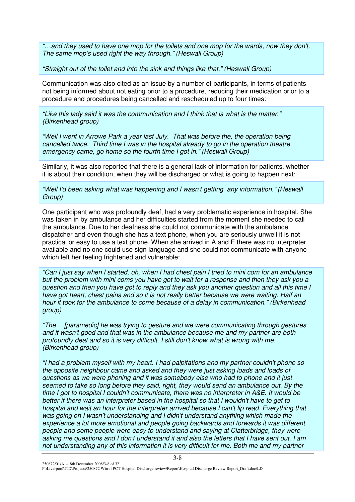*"…and they used to have one mop for the toilets and one mop for the wards, now they don't. The same mop's used right the way through." (Heswall Group)*

*"Straight out of the toilet and into the sink and things like that." (Heswall Group)*

Communication was also cited as an issue by a number of participants, in terms of patients not being informed about not eating prior to a procedure, reducing their medication prior to a procedure and procedures being cancelled and rescheduled up to four times:

*"Like this lady said it was the communication and I think that is what is the matter." (Birkenhead group)*

*"Well I went in Arrowe Park a year last July. That was before the, the operation being cancelled twice. Third time I was in the hospital already to go in the operation theatre, emergency came, go home so the fourth time I got in." (Heswall Group)*

Similarly, it was also reported that there is a general lack of information for patients, whether it is about their condition, when they will be discharged or what is going to happen next:

*"Well I'd been asking what was happening and I wasn't getting any information." (Heswall Group)*

One participant who was profoundly deaf, had a very problematic experience in hospital. She was taken in by ambulance and her difficulties started from the moment she needed to call the ambulance. Due to her deafness she could not communicate with the ambulance dispatcher and even though she has a text phone, when you are seriously unwell it is not practical or easy to use a text phone. When she arrived in A and E there was no interpreter available and no one could use sign language and she could not communicate with anyone which left her feeling frightened and vulnerable:

"Can I just say when I started, oh, when I had chest pain I tried to mini com for an ambulance but the problem with mini coms you have got to wait for a response and then they ask you a question and then you have got to reply and they ask you another question and all this time I *have got heart, chest pains and so it is not really better because we were waiting. Half an hour it took for the ambulance to come because of a delay in communication." (Birkenhead group)*

*"The …[paramedic] he was trying to gesture and we were communicating through gestures and it wasn't good and that was in the ambulance because me and my partner are both profoundly deaf and so it is very difficult. I still don't know what is wrong with me." (Birkenhead group)*

*"I had a problem myself with my heart. I had palpitations and my partner couldn't phone so the opposite neighbour came and asked and they were just asking loads and loads of questions as we were phoning and it was somebody else who had to phone and it just seemed to take so long before they said, right, they would send an ambulance out. By the time I got to hospital I couldn't communicate, there was no interpreter in A&E. It would be better if there was an interpreter based in the hospital so that I wouldn't have to get to hospital and wait an hour for the interpreter arrived because I can't lip read. Everything that was going on I wasn't understanding and I didn't understand anything which made the experience a lot more emotional and people going backwards and forwards it was different people and some people were easy to understand and saying at Clatterbridge, they were* asking me questions and I don't understand it and also the letters that I have sent out. I am *not understanding any of this information it is very difficult for me. Both me and my partner*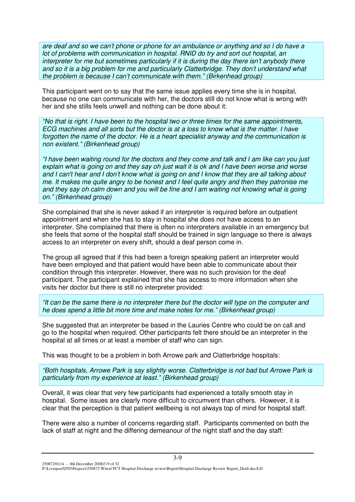are deaf and so we can't phone or phone for an ambulance or anything and so I do have a *lot of problems with communication in hospital. RNID do try and sort out hospital, an interpreter for me but sometimes particularly if it is during the day there isn't anybody there and so it is a big problem for me and particularly Clatterbridge. They don't understand what the problem is because I can't communicate with them." (Birkenhead group)*

This participant went on to say that the same issue applies every time she is in hospital, because no one can communicate with her, the doctors still do not know what is wrong with her and she stills feels unwell and nothing can be done about it:

*"No that is right. I have been to the hospital two or three times for the same appointments,* ECG machines and all sorts but the doctor is at a loss to know what is the matter. I have *forgotten the name of the doctor. He is a heart specialist anyway and the communication is non existent." (Birkenhead group)*

"I have been waiting round for the doctors and they come and talk and I am like can you just explain what is going on and they say oh just wait it is ok and I have been worse and worse and I can't hear and I don't know what is going on and I know that they are all talking about *me. It makes me quite angry to be honest and I feel quite angry and then they patronise me* and they say oh calm down and you will be fine and I am waiting not knowing what is going *on." (Birkenhead group)*

She complained that she is never asked if an interpreter is required before an outpatient appointment and when she has to stay in hospital she does not have access to an interpreter. She complained that there is often no interpreters available in an emergency but she feels that some of the hospital staff should be trained in sign language so there is always access to an interpreter on every shift, should a deaf person come in.

The group all agreed that if this had been a foreign speaking patient an interpreter would have been employed and that patient would have been able to communicate about their condition through this interpreter. However, there was no such provision for the deaf participant. The participant explained that she has access to more information when she visits her doctor but there is still no interpreter provided:

"It can be the same there is no interpreter there but the doctor will type on the computer and *he does spend a little bit more time and make notes for me." (Birkenhead group)*

She suggested that an interpreter be based in the Lauries Centre who could be on call and go to the hospital when required. Other participants felt there should be an interpreter in the hospital at all times or at least a member of staff who can sign.

This was thought to be a problem in both Arrowe park and Clatterbridge hospitals:

*"Both hospitals, Arrowe Park is say slightly worse. Clatterbridge is not bad but Arrowe Park is particularly from my experience at least." (Birkenhead group)*

Overall, it was clear that very few participants had experienced a totally smooth stay in hospital. Some issues are clearly more difficult to circumvent than others. However, it is clear that the perception is that patient wellbeing is not always top of mind for hospital staff.

There were also a number of concerns regarding staff. Participants commented on both the lack of staff at night and the differing demeanour of the night staff and the day staff:

250872/01/A - 8th December 2008/3-9 of 32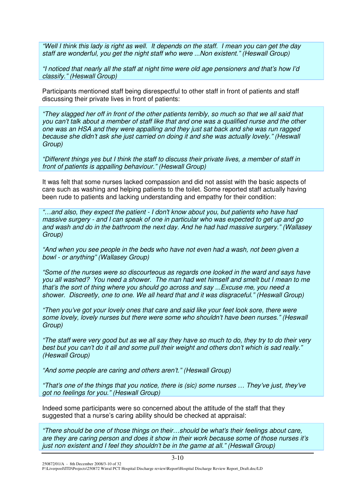"Well I think this lady is right as well. It depends on the staff. I mean you can get the day *staff are wonderful, you get the night staff who were ...Non existent." (Heswall Group)*

*"I noticed that nearly all the staff at night time were old age pensioners and that's how I'd classify." (Heswall Group)*

Participants mentioned staff being disrespectful to other staff in front of patients and staff discussing their private lives in front of patients:

"They slagged her off in front of the other patients terribly, so much so that we all said that you can't talk about a member of staff like that and one was a qualified nurse and the other *one was an HSA and they were appalling and they just sat back and she was run ragged because she didn't ask she just carried on doing it and she was actually lovely." (Heswall Group)*

*"Different things yes but I think the staff to discuss their private lives, a member of staff in front of patients is appalling behaviour." (Heswall Group)*

It was felt that some nurses lacked compassion and did not assist with the basic aspects of care such as washing and helping patients to the toilet. Some reported staff actually having been rude to patients and lacking understanding and empathy for their condition:

*"…and also, they expect the patient - I don't know about you, but patients who have had massive surgery - and I can speak of one in particular who was expected to get up and go and wash and do in the bathroom the next day. And he had had massive surgery." (Wallasey Group)*

*"And when you see people in the beds who have not even had a wash, not been given a bowl - or anything" (Wallasey Group)*

*"Some of the nurses were so discourteous as regards one looked in the ward and says have you all washed? You need a shower. The man had wet himself and smelt but I mean to me that's the sort of thing where you should go across and say ...Excuse me, you need a shower. Discreetly, one to one. We all heard that and it was disgraceful." (Heswall Group)*

*"Then you've got your lovely ones that care and said like your feet look sore, there were some lovely, lovely nurses but there were some who shouldn't have been nurses." (Heswall Group)*

"The staff were very good but as we all say they have so much to do, they try to do their very best but you can't do it all and some pull their weight and others don't which is sad really.' *(Heswall Group)*

*"And some people are caring and others aren't." (Heswall Group)*

*"That's one of the things that you notice, there is (sic) some nurses … They've just, they've got no feelings for you." (Heswall Group)*

Indeed some participants were so concerned about the attitude of the staff that they suggested that a nurse's caring ability should be checked at appraisal:

*"There should be one of those things on their…should be what's their feelings about care, are they are caring person and does it show in their work because some of those nurses it's just non existent and I feel they shouldn't be in the game at all." (Heswall Group)*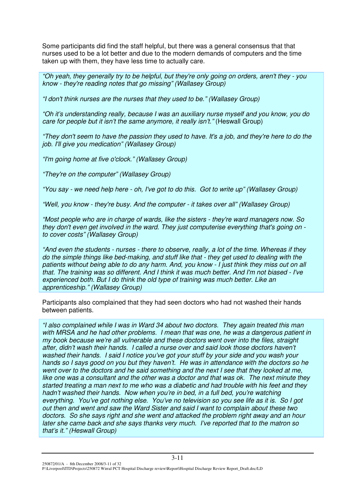Some participants did find the staff helpful, but there was a general consensus that that nurses used to be a lot better and due to the modern demands of computers and the time taken up with them, they have less time to actually care.

*"Oh yeah, they generally try to be helpful, but they're only going on orders, aren't they - you know - they're reading notes that go missing" (Wallasey Group)*

*"I don't think nurses are the nurses that they used to be." (Wallasey Group)*

*"Oh it's understanding really, because I was an auxiliary nurse myself and you know, you do care for people but it isn't the same anymore, it really isn't."* (Heswall Group)

"They don't seem to have the passion they used to have. It's a job, and they're here to do the *job. I'll give you medication" (Wallasey Group)*

*"I'm going home at five o'clock." (Wallasey Group)*

*"They're on the computer" (Wallasey Group)*

"You say - we need help here - oh, I've got to do this. Got to write up" (Wallasey Group)

*"Well, you know - they're busy. And the computer - it takes over all" (Wallasey Group)*

*"Most people who are in charge of wards, like the sisters - they're ward managers now. So they don't even get involved in the ward. They just computerise everything that's going on to cover costs" (Wallasey Group)*

"And even the students - nurses - there to observe, really, a lot of the time. Whereas if they *do the simple things like bed-making, and stuff like that - they get used to dealing with the* patients without being able to do any harm. And, you know - I just think they miss out on all that. The training was so different. And I think it was much better. And I'm not biased - I've *experienced both. But I do think the old type of training was much better. Like an apprenticeship." (Wallasey Group)*

Participants also complained that they had seen doctors who had not washed their hands between patients.

*"I also complained while I was in Ward 34 about two doctors. They again treated this man with MRSA and he had other problems. I mean that was one, he was a dangerous patient in my book because we're all vulnerable and these doctors went over into the files, straight after, didn't wash their hands. I called a nurse over and said look those doctors haven't washed their hands. I said I notice you've got your stuff by your side and you wash your hands so I says good on you but they haven't. He was in attendance with the doctors so he went over to the doctors and he said something and the next I see that they looked at me, like one was a consultant and the other was a doctor and that was ok. The next minute they started treating a man next to me who was a diabetic and had trouble with his feet and they hadn't washed their hands. Now when you're in bed, in a full bed, you're watching everything. You've got nothing else. You've no television so you see life as it is. So I got out then and went and saw the Ward Sister and said I want to complain about these two doctors. So she says right and she went and attacked the problem right away and an hour later she came back and she says thanks very much. I've reported that to the matron so that's it." (Heswall Group)*

250872/01/A - 8th December 2008/3-11 of 32 P:\Liverpool\ITD\Projects\250872 Wirral PCT Hospital Discharge review\Report\Hospital Discharge Review Report\_Draft.doc/LD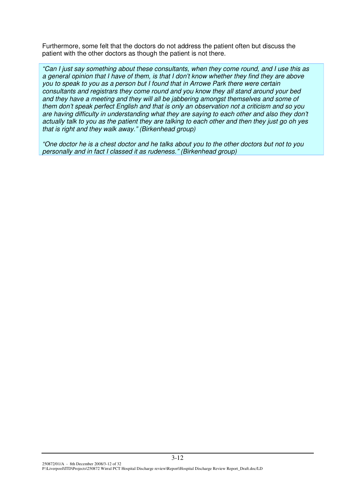Furthermore, some felt that the doctors do not address the patient often but discuss the patient with the other doctors as though the patient is not there.

*"Can I just say something about these consultants, when they come round, and I use this as* a general opinion that I have of them, is that I don't know whether they find they are above *you to speak to you as a person but I found that in Arrowe Park there were certain consultants and registrars they come round and you know they all stand around your bed and they have a meeting and they will all be jabbering amongst themselves and some of them don't speak perfect English and that is only an observation not a criticism and so you are having difficulty in understanding what they are saying to each other and also they don't* actually talk to you as the patient they are talking to each other and then they just go oh yes *that is right and they walk away." (Birkenhead group)*

"One doctor he is a chest doctor and he talks about you to the other doctors but not to you *personally and in fact I classed it as rudeness." (Birkenhead group)*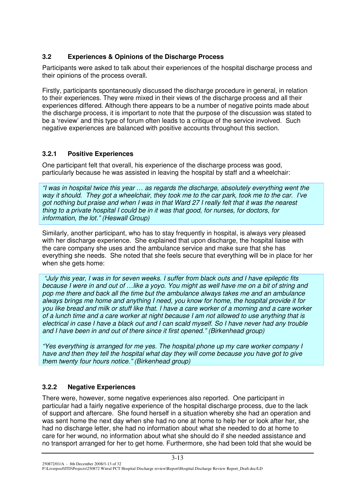# **3.2 Experiences & Opinions of the Discharge Process**

Participants were asked to talk about their experiences of the hospital discharge process and their opinions of the process overall.

Firstly, participants spontaneously discussed the discharge procedure in general, in relation to their experiences. They were mixed in their views of the discharge process and all their experiences differed. Although there appears to be a number of negative points made about the discharge process, it is important to note that the purpose of the discussion was stated to be a 'review' and this type of forum often leads to a critique of the service involved. Such negative experiences are balanced with positive accounts throughout this section.

# **3.2.1 Positive Experiences**

One participant felt that overall, his experience of the discharge process was good, particularly because he was assisted in leaving the hospital by staff and a wheelchair:

*"I was in hospital twice this year … as regards the discharge, absolutely everything went the* way it should. They got a wheelchair, they took me to the car park, took me to the car. I've got nothing but praise and when I was in that Ward 27 I really felt that it was the nearest *thing to a private hospital I could be in it was that good, for nurses, for doctors, for information, the lot." (Heswall Group)*

Similarly, another participant, who has to stay frequently in hospital, is always very pleased with her discharge experience. She explained that upon discharge, the hospital liaise with the care company she uses and the ambulance service and make sure that she has everything she needs. She noted that she feels secure that everything will be in place for her when she gets home:

"July this year, I was in for seven weeks. I suffer from black outs and I have epileptic fits because I were in and out of ... like a vovo. You might as well have me on a bit of string and *pop me there and back all the time but the ambulance always takes me and an ambulance always brings me home and anything I need, you know for home, the hospital provide it for* you like bread and milk or stuff like that. I have a care worker of a morning and a care worker of a lunch time and a care worker at night because I am not allowed to use anything that is electrical in case I have a black out and I can scald myself. So I have never had any trouble *and I have been in and out of there since it first opened." (Birkenhead group)*

*"Yes everything is arranged for me yes. The hospital phone up my care worker company I have and then they tell the hospital what day they will come because you have got to give them twenty four hours notice." (Birkenhead group)*

# **3.2.2 Negative Experiences**

There were, however, some negative experiences also reported. One participant in particular had a fairly negative experience of the hospital discharge process, due to the lack of support and aftercare. She found herself in a situation whereby she had an operation and was sent home the next day when she had no one at home to help her or look after her, she had no discharge letter, she had no information about what she needed to do at home to care for her wound, no information about what she should do if she needed assistance and no transport arranged for her to get home. Furthermore, she had been told that she would be

P:\Liverpool\ITD\Projects\250872 Wirral PCT Hospital Discharge review\Report\Hospital Discharge Review Report\_Draft.doc/LD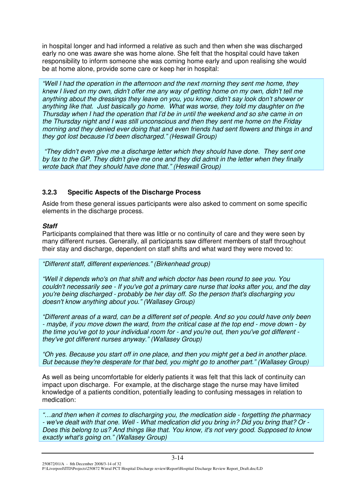in hospital longer and had informed a relative as such and then when she was discharged early no one was aware she was home alone. She felt that the hospital could have taken responsibility to inform someone she was coming home early and upon realising she would be at home alone, provide some care or keep her in hospital:

*"Well I had the operation in the afternoon and the next morning they sent me home, they* knew I lived on my own, didn't offer me any way of getting home on my own, didn't tell me *anything about the dressings they leave on you, you know, didn't say look don't shower or anything like that. Just basically go home. What was worse, they told my daughter on the Thursday when I had the operation that I'd be in until the weekend and so she came in on the Thursday night and I was still unconscious and then they sent me home on the Friday morning and they denied ever doing that and even friends had sent flowers and things in and they got lost because I'd been discharged." (Heswall Group)*

*"They didn't even give me a discharge letter which they should have done. They sent one* by fax to the GP. They didn't give me one and they did admit in the letter when they finally *wrote back that they should have done that." (Heswall Group)*

# **3.2.3 Specific Aspects of the Discharge Process**

Aside from these general issues participants were also asked to comment on some specific elements in the discharge process.

#### *Staff*

Participants complained that there was little or no continuity of care and they were seen by many different nurses. Generally, all participants saw different members of staff throughout their stay and discharge, dependent on staff shifts and what ward they were moved to:

*"Different staff, different experiences." (Birkenhead group)*

*"Well it depends who's on that shift and which doctor has been round to see you. You couldn't necessarily see - If you've got a primary care nurse that looks after you, and the day you're being discharged - probably be her day off. So the person that's discharging you doesn't know anything about you." (Wallasey Group)*

"Different areas of a ward, can be a different set of people. And so you could have only been - maybe, if you move down the ward, from the critical case at the top end - move down - by *the time you've got to your individual room for - and you're out, then you've got different they've got different nurses anyway." (Wallasey Group)*

*"Oh yes. Because you start off in one place, and then you might get a bed in another place. But because they're desperate for that bed, you might go to another part." (Wallasey Group)*

As well as being uncomfortable for elderly patients it was felt that this lack of continuity can impact upon discharge. For example, at the discharge stage the nurse may have limited knowledge of a patients condition, potentially leading to confusing messages in relation to medication:

*"…and then when it comes to discharging you, the medication side - forgetting the pharmacy* - we've dealt with that one. Well - What medication did you bring in? Did you bring that? Or -*Does this belong to us? And things like that. You know, it's not very good. Supposed to know exactly what's going on." (Wallasey Group)*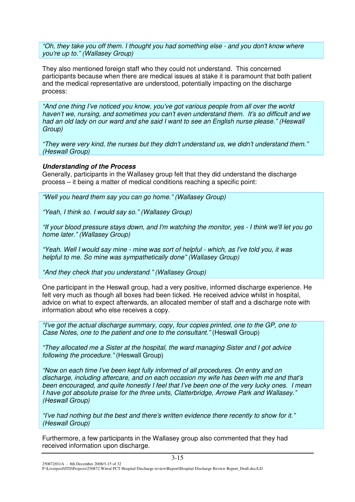*"Oh, they take you off them. I thought you had something else - and you don't know where you're up to." (Wallasey Group)*

They also mentioned foreign staff who they could not understand. This concerned participants because when there are medical issues at stake it is paramount that both patient and the medical representative are understood, potentially impacting on the discharge process:

*"And one thing I've noticed you know, you've got various people from all over the world haven't we, nursing, and sometimes you can't even understand them. It's so difficult and we had an old lady on our ward and she said I want to see an English nurse please." (Heswall Group)*

*"They were very kind, the nurses but they didn't understand us, we didn't understand them." (Heswall Group)*

#### *Understanding of the Process*

Generally, participants in the Wallasey group felt that they did understand the discharge process – it being a matter of medical conditions reaching a specific point:

*"Well you heard them say you can go home." (Wallasey Group)*

*"Yeah, I think so. I would say so." (Wallasey Group)*

"If your blood pressure stays down, and I'm watching the monitor, yes - I think we'll let you go *home later." (Wallasey Group)*

"Yeah. Well I would say mine - mine was sort of helpful - which, as I've told you, it was *helpful to me. So mine was sympathetically done" (Wallasey Group)*

*"And they check that you understand." (Wallasey Group)*

One participant in the Heswall group, had a very positive, informed discharge experience. He felt very much as though all boxes had been ticked. He received advice whilst in hospital, advice on what to expect afterwards, an allocated member of staff and a discharge note with information about who else receives a copy.

*"I've got the actual discharge summary, copy, four copies printed, one to the GP, one to Case Notes, one to the patient and one to the consultant."* (Heswall Group)

*"They allocated me a Sister at the hospital, the ward managing Sister and I got advice following the procedure."* (Heswall Group)

*"Now on each time I've been kept fully informed of all procedures. On entry and on discharge, including aftercare, and on each occasion my wife has been with me and that's been encouraged, and quite honestly I feel that I've been one of the very lucky ones. I mean I have got absolute praise for the three units, Clatterbridge, Arrowe Park and Wallasey." (Heswall Group)*

*"I've had nothing but the best and there's written evidence there recently to show for it." (Heswall Group)*

Furthermore, a few participants in the Wallasey group also commented that they had received information upon discharge.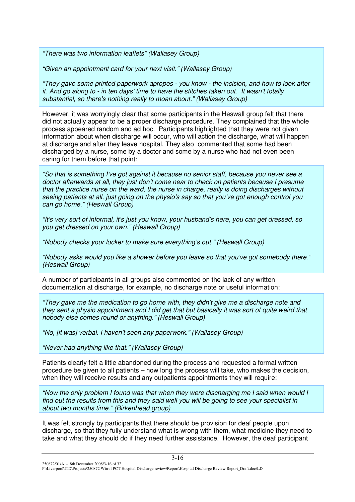*"There was two information leaflets" (Wallasey Group)*

*"Given an appointment card for your next visit." (Wallasey Group)*

*"They gave some printed paperwork apropos - you know - the incision, and how to look after it. And go along to - in ten days'time to have the stitches taken out. It wasn't totally substantial, so there's nothing really to moan about." (Wallasey Group)*

However, it was worryingly clear that some participants in the Heswall group felt that there did not actually appear to be a proper discharge procedure. They complained that the whole process appeared random and ad hoc. Participants highlighted that they were not given information about when discharge will occur, who will action the discharge, what will happen at discharge and after they leave hospital. They also commented that some had been discharged by a nurse, some by a doctor and some by a nurse who had not even been caring for them before that point:

*"So that is something I've got against it because no senior staff, because you never see a doctor afterwards at all, they just don't come near to check on patients because I presume that the practice nurse on the ward, the nurse in charge, really is doing discharges without seeing patients at all, just going on the physio's say so that you've got enough control you can go home." (Heswall Group)*

*"It's very sort of informal, it's just you know, your husband's here, you can get dressed, so you get dressed on your own." (Heswall Group)*

*"Nobody checks your locker to make sure everything's out." (Heswall Group)*

*"Nobody asks would you like a shower before you leave so that you've got somebody there." (Heswall Group)*

A number of participants in all groups also commented on the lack of any written documentation at discharge, for example, no discharge note or useful information:

*"They gave me the medication to go home with, they didn't give me a discharge note and* they sent a physio appointment and I did get that but basically it was sort of quite weird that *nobody else comes round or anything." (Heswall Group)*

*"No, [it was] verbal. I haven't seen any paperwork." (Wallasey Group)*

*"Never had anything like that." (Wallasey Group)*

Patients clearly felt a little abandoned during the process and requested a formal written procedure be given to all patients – how long the process will take, who makes the decision, when they will receive results and any outpatients appointments they will require:

*"Now the only problem I found was that when they were discharging me I said when would I* find out the results from this and they said well you will be going to see your specialist in *about two months time." (Birkenhead group)*

It was felt strongly by participants that there should be provision for deaf people upon discharge, so that they fully understand what is wrong with them, what medicine they need to take and what they should do if they need further assistance. However, the deaf participant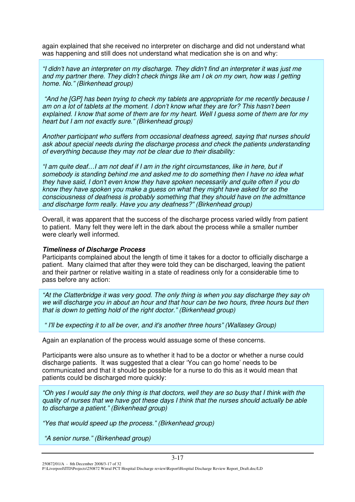again explained that she received no interpreter on discharge and did not understand what was happening and still does not understand what medication she is on and why:

*"I didn't have an interpreter on my discharge. They didn't find an interpreter it was just me and my partner there. They didn't check things like am I ok on my own, how was I getting home. No." (Birkenhead group)*

*"And he [GP] has been trying to check my tablets are appropriate for me recently because I am on a lot of tablets at the moment. I don't know what they are for? This hasn't been* explained. I know that some of them are for my heart. Well I guess some of them are for my *heart but I am not exactly sure." (Birkenhead group)*

*Another participant who suffers from occasional deafness agreed, saying that nurses should ask about special needs during the discharge process and check the patients understanding of everything because they may not be clear due to their disability:*

*"I am quite deaf…I am not deaf if I am in the right circumstances, like in here, but if somebody is standing behind me and asked me to do something then I have no idea what they have said, I don't even know they have spoken necessarily and quite often if you do know they have spoken you make a guess on what they might have asked for so the consciousness of deafness is probably something that they should have on the admittance and discharge form really. Have you any deafness?" (Birkenhead group)*

Overall, it was apparent that the success of the discharge process varied wildly from patient to patient. Many felt they were left in the dark about the process while a smaller number were clearly well informed.

#### *Timeliness of Discharge Process*

Participants complained about the length of time it takes for a doctor to officially discharge a patient. Many claimed that after they were told they can be discharged, leaving the patient and their partner or relative waiting in a state of readiness only for a considerable time to pass before any action:

*"At the Clatterbridge it was very good. The only thing is when you say discharge they say oh we will discharge you in about an hour and that hour can be two hours, three hours but then that is down to getting hold of the right doctor." (Birkenhead group)*

*" I'll be expecting it to all be over, and it's another three hours" (Wallasey Group)*

Again an explanation of the process would assuage some of these concerns.

Participants were also unsure as to whether it had to be a doctor or whether a nurse could discharge patients. It was suggested that a clear 'You can go home' needs to be communicated and that it should be possible for a nurse to do this as it would mean that patients could be discharged more quickly:

"Oh yes I would say the only thing is that doctors, well they are so busy that I think with the *quality of nurses that we have got these days I think that the nurses should actually be able to discharge a patient." (Birkenhead group)*

*"Yes that would speed up the process." (Birkenhead group)*

*"A senior nurse." (Birkenhead group)*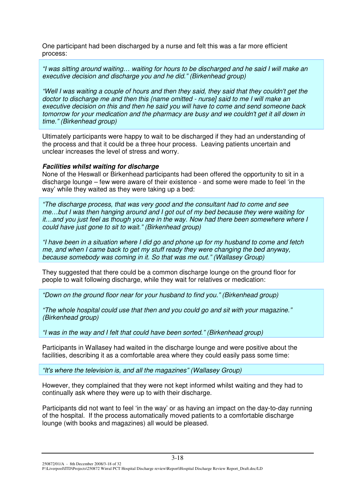One participant had been discharged by a nurse and felt this was a far more efficient process:

*"I was sitting around waiting… waiting for hours to be discharged and he said I will make an executive decision and discharge you and he did." (Birkenhead group)*

"Well I was waiting a couple of hours and then they said, they said that they couldn't get the *doctor to discharge me and then this {name omitted - nurse] said to me I will make an executive decision on this and then he said you will have to come and send someone back tomorrow for your medication and the pharmacy are busy and we couldn't get it all down in time." (Birkenhead group)*

Ultimately participants were happy to wait to be discharged if they had an understanding of the process and that it could be a three hour process. Leaving patients uncertain and unclear increases the level of stress and worry.

#### *Facilities whilst waiting for discharge*

None of the Heswall or Birkenhead participants had been offered the opportunity to sit in a discharge lounge – few were aware of their existence - and some were made to feel 'in the way' while they waited as they were taking up a bed:

*"The discharge process, that was very good and the consultant had to come and see me…but I was then hanging around and I got out of my bed because they were waiting for it…and you just feel as though you are in the way. Now had there been somewhere where I could have just gone to sit to wait." (Birkenhead group)*

"I have been in a situation where I did go and phone up for my husband to come and fetch *me, and when I came back to get my stuff ready they were changing the bed anyway, because somebody was coming in it. So that was me out." (Wallasey Group)*

They suggested that there could be a common discharge lounge on the ground floor for people to wait following discharge, while they wait for relatives or medication:

*"Down on the ground floor near for your husband to find you." (Birkenhead group)*

*"The whole hospital could use that then and you could go and sit with your magazine." (Birkenhead group)*

*"I was in the way and I felt that could have been sorted." (Birkenhead group)*

Participants in Wallasey had waited in the discharge lounge and were positive about the facilities, describing it as a comfortable area where they could easily pass some time:

*"It's where the television is, and all the magazines" (Wallasey Group)*

However, they complained that they were not kept informed whilst waiting and they had to continually ask where they were up to with their discharge.

Participants did not want to feel 'in the way' or as having an impact on the day-to-day running of the hospital. If the process automatically moved patients to a comfortable discharge lounge (with books and magazines) all would be pleased.

250872/01/A - 8th December 2008/3-18 of 32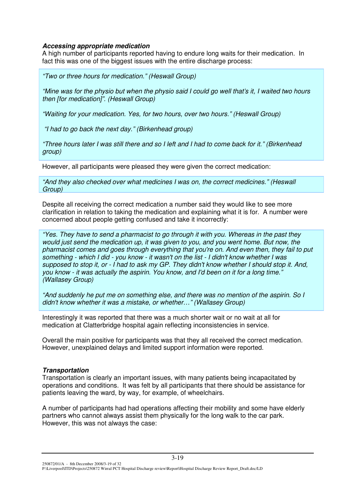#### *Accessing appropriate medication*

A high number of participants reported having to endure long waits for their medication. In fact this was one of the biggest issues with the entire discharge process:

*"Two or three hours for medication." (Heswall Group)*

"Mine was for the physio but when the physio said I could go well that's it. I waited two hours *then [for medication]". (Heswall Group)*

*"Waiting for your medication. Yes, for two hours, over two hours." (Heswall Group)*

*"I had to go back the next day." (Birkenhead group)*

"Three hours later I was still there and so I left and I had to come back for it." (Birkenhead *group)*

However, all participants were pleased they were given the correct medication:

*"And they also checked over what medicines I was on, the correct medicines." (Heswall Group)*

Despite all receiving the correct medication a number said they would like to see more clarification in relation to taking the medication and explaining what it is for. A number were concerned about people getting confused and take it incorrectly:

*"Yes. They have to send a pharmacist to go through it with you. Whereas in the past they would just send the medication up, it was given to you, and you went home. But now, the pharmacist comes and goes through everything that you're on. And even then, they fail to put* something - which I did - you know - it wasn't on the list - I didn't know whether I was supposed to stop it, or - I had to ask my GP. They didn't know whether I should stop it. And, *you know - it was actually the aspirin. You know, and I'd been on it for a long time." (Wallasey Group)*

*"And suddenly he put me on something else, and there was no mention of the aspirin. So I didn't know whether it was a mistake, or whether…" (Wallasey Group)*

Interestingly it was reported that there was a much shorter wait or no wait at all for medication at Clatterbridge hospital again reflecting inconsistencies in service.

Overall the main positive for participants was that they all received the correct medication. However, unexplained delays and limited support information were reported.

#### *Transportation*

Transportation is clearly an important issues, with many patients being incapacitated by operations and conditions. It was felt by all participants that there should be assistance for patients leaving the ward, by way, for example, of wheelchairs.

A number of participants had had operations affecting their mobility and some have elderly partners who cannot always assist them physically for the long walk to the car park. However, this was not always the case:

250872/01/A - 8th December 2008/3-19 of 32 P:\Liverpool\ITD\Projects\250872 Wirral PCT Hospital Discharge review\Report\Hospital Discharge Review Report\_Draft.doc/LD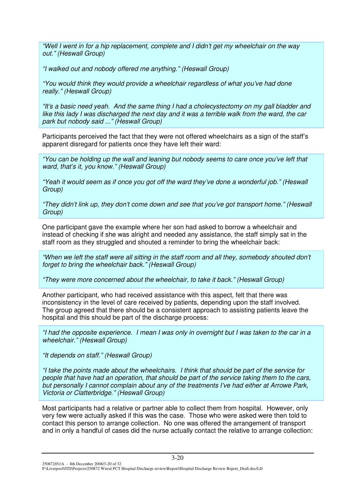*"Well I went in for a hip replacement, complete and I didn't get my wheelchair on the way out." (Heswall Group)*

*"I walked out and nobody offered me anything." (Heswall Group)*

*"You would think they would provide a wheelchair regardless of what you've had done really." (Heswall Group)*

*"It's a basic need yeah. And the same thing I had a cholecystectomy on my gall bladder and* like this lady I was discharged the next day and it was a terrible walk from the ward, the car *park but nobody said ..." (Heswall Group)*

Participants perceived the fact that they were not offered wheelchairs as a sign of the staff's apparent disregard for patients once they have left their ward:

*"You can be holding up the wall and leaning but nobody seems to care once you've left that ward, that's it, you know." (Heswall Group)*

*"Yeah it would seem as if once you got off the ward they've done a wonderful job." (Heswall Group)*

*"They didn't link up, they don't come down and see that you've got transport home." (Heswall Group)*

One participant gave the example where her son had asked to borrow a wheelchair and instead of checking if she was alright and needed any assistance, the staff simply sat in the staff room as they struggled and shouted a reminder to bring the wheelchair back:

*"When we left the staff were all sitting in the staff room and all they, somebody shouted don't forget to bring the wheelchair back." (Heswall Group)*

*"They were more concerned about the wheelchair, to take it back." (Heswall Group)*

Another participant, who had received assistance with this aspect, felt that there was inconsistency in the level of care received by patients, depending upon the staff involved. The group agreed that there should be a consistent approach to assisting patients leave the hospital and this should be part of the discharge process:

"I had the opposite experience. I mean I was only in overnight but I was taken to the car in a *wheelchair." (Heswall Group)*

*"It depends on staff." (Heswall Group)*

*"I take the points made about the wheelchairs. I think that should be part of the service for people that have had an operation, that should be part of the service taking them to the cars, but personally I cannot complain about any of the treatments I've had either at Arrowe Park, Victoria or Clatterbridge." (Heswall Group)*

Most participants had a relative or partner able to collect them from hospital. However, only very few were actually asked if this was the case. Those who were asked were then told to contact this person to arrange collection. No one was offered the arrangement of transport and in only a handful of cases did the nurse actually contact the relative to arrange collection:

250872/01/A - 8th December 2008/3-20 of 32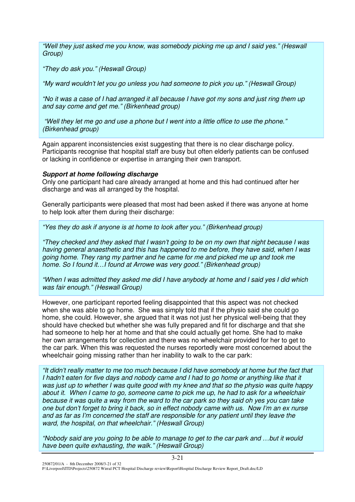*"Well they just asked me you know, was somebody picking me up and I said yes." (Heswall Group)*

*"They do ask you." (Heswall Group)*

*"My ward wouldn't let you go unless you had someone to pick you up." (Heswall Group)*

"No it was a case of I had arranged it all because I have got my sons and just ring them up *and say come and get me." (Birkenhead group)*

"Well they let me go and use a phone but I went into a little office to use the phone." *(Birkenhead group)*

Again apparent inconsistencies exist suggesting that there is no clear discharge policy. Participants recognise that hospital staff are busy but often elderly patients can be confused or lacking in confidence or expertise in arranging their own transport.

#### *Support at home following discharge*

Only one participant had care already arranged at home and this had continued after her discharge and was all arranged by the hospital.

Generally participants were pleased that most had been asked if there was anyone at home to help look after them during their discharge:

*"Yes they do ask if anyone is at home to look after you." (Birkenhead group)*

*"They checked and they asked that I wasn't going to be on my own that night because I was having general anaesthetic and this has happened to me before, they have said, when I was going home. They rang my partner and he came for me and picked me up and took me home. So I found it…I found at Arrowe was very good." (Birkenhead group)*

"When I was admitted they asked me did I have anybody at home and I said yes I did which *was fair enough." (Heswall Group)*

However, one participant reported feeling disappointed that this aspect was not checked when she was able to go home. She was simply told that if the physio said she could go home, she could. However, she argued that it was not just her physical well-being that they should have checked but whether she was fully prepared and fit for discharge and that she had someone to help her at home and that she could actually get home. She had to make her own arrangements for collection and there was no wheelchair provided for her to get to the car park. When this was requested the nurses reportedly were most concerned about the wheelchair going missing rather than her inability to walk to the car park:

"It didn't really matter to me too much because I did have somebody at home but the fact that I hadn't eaten for five days and nobody came and I had to go home or anything like that it was just up to whether I was quite good with my knee and that so the physio was quite happy about it. When I came to go, someone came to pick me up, he had to ask for a wheelchair because it was quite a way from the ward to the car park so they said oh yes you can take one but don't forget to bring it back, so in effect nobody came with us. Now I'm an ex nurse *and as far as I'm concerned the staff are responsible for any patient until they leave the ward, the hospital, on that wheelchair." (Heswall Group)*

"Nobody said are you going to be able to manage to get to the car park and ...but it would *have been quite exhausting, the walk." (Heswall Group)*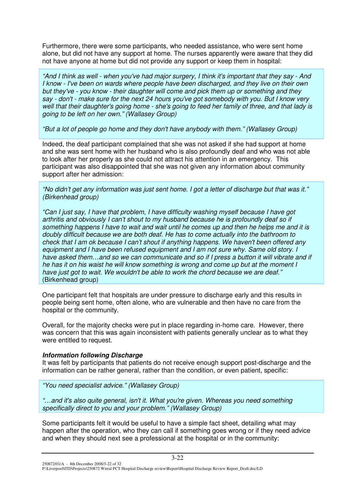Furthermore, there were some participants, who needed assistance, who were sent home alone, but did not have any support at home. The nurses apparently were aware that they did not have anyone at home but did not provide any support or keep them in hospital:

"And I think as well - when you've had major surgery, I think it's important that they say - And *I know - I've been on wards where people have been discharged, and they live on their own but they've - you know - their daughter will come and pick them up or something and they* say - don't - make sure for the next 24 hours you've got somebody with you. But I know very well that their daughter's going home - she's going to feed her family of three, and that lady is *going to be left on her own." (Wallasey Group)*

*"But a lot of people go home and they don't have anybody with them." (Wallasey Group)*

Indeed, the deaf participant complained that she was not asked if she had support at home and she was sent home with her husband who is also profoundly deaf and who was not able to look after her properly as she could not attract his attention in an emergency. This participant was also disappointed that she was not given any information about community support after her admission:

"No didn't get any information was just sent home. I got a letter of discharge but that was it." *(Birkenhead group)*

*"Can I just say, I have that problem, I have difficulty washing myself because I have got arthritis and obviously I can't shout to my husband because he is profoundly deaf so if* something happens I have to wait and wait until he comes up and then he helps me and it is *doubly difficult because we are both deaf. He has to come actually into the bathroom to check that I am ok because I can't shout if anything happens. We haven't been offered any equipment and I have been refused equipment and I am not sure why. Same old story. I have asked them…and so we can communicate and so if I press a button it will vibrate and if* he has it on his waist he will know something is wrong and come up but at the moment I *have just got to wait. We wouldn't be able to work the chord because we are deaf."* (Birkenhead group)

One participant felt that hospitals are under pressure to discharge early and this results in people being sent home, often alone, who are vulnerable and then have no care from the hospital or the community.

Overall, for the majority checks were put in place regarding in-home care. However, there was concern that this was again inconsistent with patients generally unclear as to what they were entitled to request.

#### *Information following Discharge*

It was felt by participants that patients do not receive enough support post-discharge and the information can be rather general, rather than the condition, or even patient, specific:

*"You need specialist advice." (Wallasey Group)*

*"…and it's also quite general, isn't it. What you're given. Whereas you need something specifically direct to you and your problem." (Wallasey Group)*

Some participants felt it would be useful to have a simple fact sheet, detailing what may happen after the operation, who they can call if something goes wrong or if they need advice and when they should next see a professional at the hospital or in the community:

250872/01/A - 8th December 2008/3-22 of 32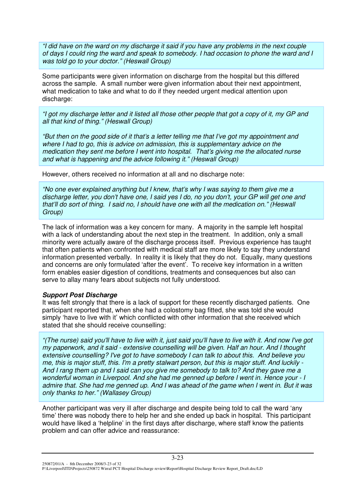"I did have on the ward on my discharge it said if you have any problems in the next couple of days I could ring the ward and speak to somebody. I had occasion to phone the ward and I *was told go to your doctor." (Heswall Group)*

Some participants were given information on discharge from the hospital but this differed across the sample. A small number were given information about their next appointment, what medication to take and what to do if they needed urgent medical attention upon discharge:

"I got my discharge letter and it listed all those other people that got a copy of it, my GP and *all that kind of thing." (Heswall Group)*

"But then on the good side of it that's a letter telling me that I've got my appointment and *where I had to go, this is advice on admission, this is supplementary advice on the medication they sent me before I went into hospital. That's giving me the allocated nurse and what is happening and the advice following it." (Heswall Group)*

However, others received no information at all and no discharge note:

*"No one ever explained anything but I knew, that's why I was saying to them give me a* discharge letter, you don't have one, I said yes I do, no you don't, your GP will get one and *that'll do sort of thing. I said no, I should have one with all the medication on." (Heswall Group)*

The lack of information was a key concern for many. A majority in the sample left hospital with a lack of understanding about the next step in the treatment. In addition, only a small minority were actually aware of the discharge process itself. Previous experience has taught that often patients when confronted with medical staff are more likely to say they understand information presented verbally. In reality it is likely that they do not. Equally, many questions and concerns are only formulated 'after the event'. To receive key information in a written form enables easier digestion of conditions, treatments and consequences but also can serve to allay many fears about subjects not fully understood.

#### *Support Post Discharge*

It was felt strongly that there is a lack of support for these recently discharged patients. One participant reported that, when she had a colostomy bag fitted, she was told she would simply 'have to live with it' which conflicted with other information that she received which stated that she should receive counselling:

"(The nurse) said you'll have to live with it, just said you'll have to live with it. And now I've got *my paperwork, and it said - extensive counselling will be given. Half an hour. And I thought extensive counselling? I've got to have somebody I can talk to about this. And believe you* me, this is maior stuff, this, I'm a pretty stalwart person, but this is maior stuff. And luckily -And I rang them up and I said can you give me somebody to talk to? And they gave me a *wonderful woman in Liverpool. And she had me genned up before I went in. Hence your - I* admire that. She had me genned up. And I was ahead of the game when I went in. But it was *only thanks to her." (Wallasey Group)*

Another participant was very ill after discharge and despite being told to call the ward 'any time' there was nobody there to help her and she ended up back in hospital. This participant would have liked a 'helpline' in the first days after discharge, where staff know the patients problem and can offer advice and reassurance:

250872/01/A - 8th December 2008/3-23 of 32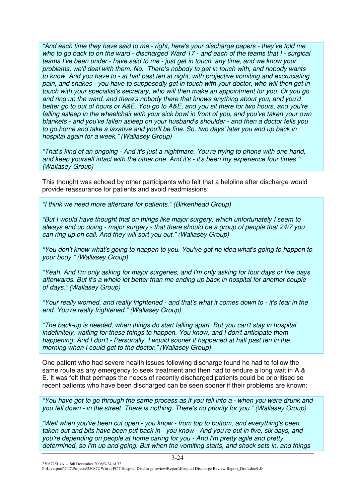*"And each time they have said to me - right, here's your discharge papers - they've told me* who to go back to on the ward - discharged Ward 17 - and each of the teams that I - surgical teams I've been under - have said to me - just get in touch, any time, and we know your *problems, we'll deal with them. No. There's nobody to get in touch with, and nobody wants to know. And you have to - at half past ten at night, with projective vomiting and excruciating* pain, and shakes - you have to supposedly get in touch with your doctor, who will then get in *touch with your specialist's secretary, who will then make an appointment for you. Or you go and ring up the ward, and there's nobody there that knows anything about you, and you'd* better go to out of hours or A&E. You go to A&E, and you sit there for two hours, and you're *falling asleep in the wheelchair with your sick bowl in front of you, and you've taken your own blankets - and you've fallen asleep on your husband's shoulder - and then a doctor tells you to go home and take a laxative and you'll be fine. So, two days'later you end up back in hospital again for a week." (Wallasey Group)*

*"That's kind of an ongoing - And it's just a nightmare. You're trying to phone with one hand, and keep yourself intact with the other one. And it's - it's been my experience four times." (Wallasey Group)*

This thought was echoed by other participants who felt that a helpline after discharge would provide reassurance for patients and avoid readmissions:

*"I think we need more aftercare for patients." (Birkenhead Group)*

*"But I would have thought that on things like major surgery, which unfortunately I seem to always end up doing - major surgery - that there should be a group of people that 24/7 you can ring up on call. And they will sort you out." (Wallasey Group)*

*"You don't know what's going to happen to you. You've got no idea what's going to happen to your body." (Wallasey Group)*

*"Yeah. And I'm only asking for major surgeries, and I'm only asking for four days or five days afterwards. But it's a whole lot better than me ending up back in hospital for another couple of days." (Wallasey Group)*

"Your really worried, and really frightened - and that's what it comes down to - it's fear in the *end. You're really frightened." (Wallasey Group)*

*"The back-up is needed, when things do start falling apart. But you can't stay in hospital indefinitely, waiting for these things to happen. You know, and I don't anticipate them happening. And I don't - Personally, I would sooner it happened at half past ten in the morning when I could get to the doctor." (Wallasey Group)*

One patient who had severe health issues following discharge found he had to follow the same route as any emergency to seek treatment and then had to endure a long wait in A & E. It was felt that perhaps the needs of recently discharged patients could be prioritised so recent patients who have been discharged can be seen sooner if their problems are known:

"You have got to go through the same process as if you fell into a - when you were drunk and *you fell down - in the street. There is nothing. There's no priority for you." (Wallasey Group)*

*"Well when you've been cut open - you know - from top to bottom, and everything's been* taken out and bits have been put back in - you know - And you're out in five, six days, and *you're depending on people at home caring for you - And I'm pretty agile and pretty determined, so I'm up and going. But when the vomiting starts, and shock sets in, and things*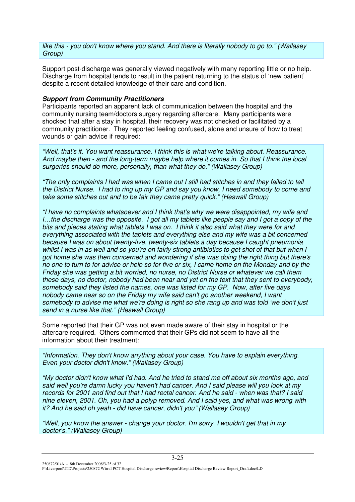*like this - you don't know where you stand. And there is literally nobody to go to." (Wallasey Group)*

Support post-discharge was generally viewed negatively with many reporting little or no help. Discharge from hospital tends to result in the patient returning to the status of 'new patient' despite a recent detailed knowledge of their care and condition.

#### *Support from Community Practitioners*

Participants reported an apparent lack of communication between the hospital and the community nursing team/doctors surgery regarding aftercare. Many participants were shocked that after a stay in hospital, their recovery was not checked or facilitated by a community practitioner. They reported feeling confused, alone and unsure of how to treat wounds or gain advice if required:

*"Well, that's it. You want reassurance. I think this is what we're talking about. Reassurance. And maybe then - and the long-term maybe help where it comes in. So that I think the local surgeries should do more, personally, than what they do." (Wallasey Group)*

"The only complaints I had was when I came out I still had stitches in and they failed to tell the District Nurse. I had to ring up my GP and say you know, I need somebody to come and *take some stitches out and to be fair they came pretty quick." (Heswall Group)*

*"I have no complaints whatsoever and I think that's why we were disappointed, my wife and* l...the discharge was the opposite. I got all my tablets like people say and I got a copy of the *bits and pieces stating what tablets I was on. I think it also said what they were for and everything associated with the tablets and everything else and my wife was a bit concerned because I was on about twenty-five, twenty-six tablets a day because I caught pneumonia* whilst I was in as well and so you're on fairly strong antibiotics to get shot of that but when I *got home she was then concerned and wondering if she was doing the right thing but there's* no one to turn to for advice or help so for five or six. I came home on the Monday and by the *Friday she was getting a bit worried, no nurse, no District Nurse or whatever we call them these days, no doctor, nobody had been near and yet on the text that they sent to everybody, somebody said they listed the names, one was listed for my GP. Now, after five days nobody came near so on the Friday my wife said can't go another weekend, I want somebody to advise me what we're doing is right so she rang up and was told 'we don't just send in a nurse like that." (Heswall Group)*

Some reported that their GP was not even made aware of their stay in hospital or the aftercare required. Others commented that their GPs did not seem to have all the information about their treatment:

*"Information. They don't know anything about your case. You have to explain everything. Even your doctor didn't know." (Wallasey Group)*

*"My doctor didn't know what I'd had. And he tried to stand me off about six months ago, and said well you're damn lucky you haven't had cancer. And I said please will you look at my* records for 2001 and find out that I had rectal cancer. And he said - when was that? I said *nine eleven, 2001. Oh, you had a polyp removed. And I said yes, and what was wrong with it? And he said oh yeah - did have cancer, didn't you" (Wallasey Group)*

*"Well, you know the answer - change your doctor. I'm sorry. I wouldn't get that in my doctor's." (Wallasey Group)*

250872/01/A - 8th December 2008/3-25 of 32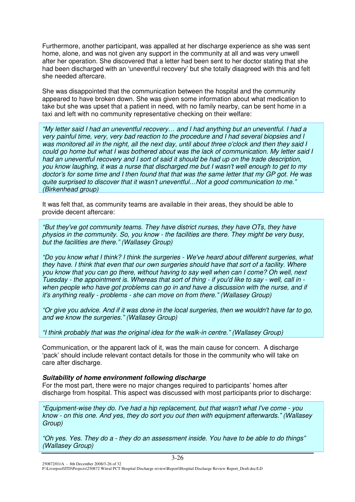Furthermore, another participant, was appalled at her discharge experience as she was sent home, alone, and was not given any support in the community at all and was very unwell after her operation. She discovered that a letter had been sent to her doctor stating that she had been discharged with an 'uneventful recovery' but she totally disagreed with this and felt she needed aftercare.

She was disappointed that the communication between the hospital and the community appeared to have broken down. She was given some information about what medication to take but she was upset that a patient in need, with no family nearby, can be sent home in a taxi and left with no community representative checking on their welfare:

*"My letter said I had an uneventful recovery… and I had anything but an uneventful. I had a very painful time, very, very bad reaction to the procedure and I had several biopsies and I* was monitored all in the night, all the next day, until about three o'clock and then they said I *could go home but what I was bothered about was the lack of communication. My letter said I had an uneventful recovery and I sort of said it should be had up on the trade description, you know laughing, it was a nurse that discharged me but I wasn't well enough to get to my* doctor's for some time and I then found that that was the same letter that my GP got. He was *quite surprised to discover that it wasn't uneventful…Not a good communication to me." (Birkenhead group)*

It was felt that, as community teams are available in their areas, they should be able to provide decent aftercare:

*"But they've got community teams. They have district nurses, they have OTs, they have physios in the community. So, you know - the facilities are there. They might be very busy, but the facilities are there." (Wallasey Group)*

*"Do you know what I think? I think the surgeries - We've heard about different surgeries, what they have. I think that even that our own surgeries should have that sort of a facility. Where you know that you can go there, without having to say well when can I come? Oh well, next* Tuesday - the appointment is. Whereas that sort of thing - if you'd like to say - well, call in *when people who have got problems can go in and have a discussion with the nurse, and if it's anything really - problems - she can move on from there." (Wallasey Group)*

"Or give you advice. And if it was done in the local surgeries, then we wouldn't have far to go, *and we know the surgeries." (Wallasey Group)*

*"I think probably that was the original idea for the walk-in centre." (Wallasey Group)*

Communication, or the apparent lack of it, was the main cause for concern. A discharge 'pack' should include relevant contact details for those in the community who will take on care after discharge.

#### *Suitability of home environment following discharge*

For the most part, there were no major changes required to participants' homes after discharge from hospital. This aspect was discussed with most participants prior to discharge:

*"Equipment-wise they do. I've had a hip replacement, but that wasn't what I've come - you know - on this one. And yes, they do sort you out then with equipment afterwards." (Wallasey Group)*

"Oh ves. Yes. They do a - they do an assessment inside. You have to be able to do things" *(Wallasey Group)*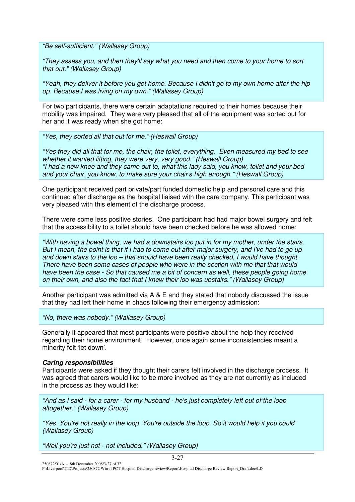*"Be self-sufficient." (Wallasey Group)*

*"They assess you, and then they'll say what you need and then come to your home to sort that out." (Wallasey Group)*

"Yeah, they deliver it before you get home. Because I didn't go to my own home after the hip *op. Because I was living on my own." (Wallasey Group)*

For two participants, there were certain adaptations required to their homes because their mobility was impaired. They were very pleased that all of the equipment was sorted out for her and it was ready when she got home:

*"Yes, they sorted all that out for me." (Heswall Group)*

*"Yes they did all that for me, the chair, the toilet, everything. Even measured my bed to see whether it wanted lifting, they were very, very good." (Heswall Group)* "I had a new knee and they came out to, what this lady said, you know, toilet and your bed *and your chair, you know, to make sure your chair's high enough." (Heswall Group)*

One participant received part private/part funded domestic help and personal care and this continued after discharge as the hospital liaised with the care company. This participant was very pleased with this element of the discharge process.

There were some less positive stories. One participant had had major bowel surgery and felt that the accessibility to a toilet should have been checked before he was allowed home:

*"With having a bowel thing, we had a downstairs loo put in for my mother, under the stairs.* But I mean, the point is that if I had to come out after major surgery, and I've had to go up *and down stairs to the loo – that should have been really checked, I would have thought. There have been some cases of people who were in the section with me that that would have been the case - So that caused me a bit of concern as well, these people going home on their own, and also the fact that I knew their loo was upstairs." (Wallasey Group)*

Another participant was admitted via A & E and they stated that nobody discussed the issue that they had left their home in chaos following their emergency admission:

*"No, there was nobody." (Wallasey Group)*

Generally it appeared that most participants were positive about the help they received regarding their home environment. However, once again some inconsistencies meant a minority felt 'let down'.

#### *Caring responsibilities*

Participants were asked if they thought their carers felt involved in the discharge process. It was agreed that carers would like to be more involved as they are not currently as included in the process as they would like:

"And as I said - for a carer - for my husband - he's just completely left out of the loop *altogether." (Wallasey Group)*

*"Yes. You're not really in the loop. You're outside the loop. So it would help if you could" (Wallasey Group)*

*"Well you're just not - not included." (Wallasey Group)*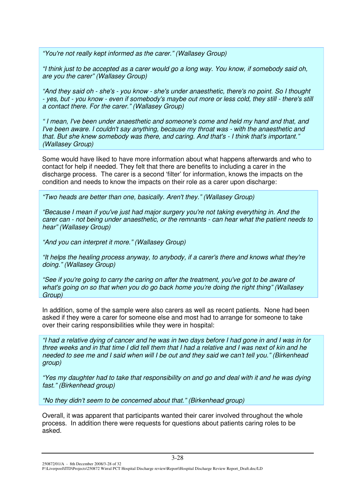*"You're not really kept informed as the carer." (Wallasey Group)*

"I think just to be accepted as a carer would go a long way. You know, if somebody said oh, *are you the carer" (Wallasey Group)*

"And they said oh - she's - you know - she's under anaesthetic, there's no point. So I thought - yes, but - you know - even if somebody's maybe out more or less cold, they still - there's still *a contact there. For the carer." (Wallasey Group)*

*" I mean, I've been under anaesthetic and someone's come and held my hand and that, and I've been aware. I couldn't say anything, because my throat was - with the anaesthetic and that. But she knew somebody was there, and caring. And that's - I think that's important." (Wallasey Group)*

Some would have liked to have more information about what happens afterwards and who to contact for help if needed. They felt that there are benefits to including a carer in the discharge process. The carer is a second 'filter' for information, knows the impacts on the condition and needs to know the impacts on their role as a carer upon discharge:

*"Two heads are better than one, basically. Aren't they." (Wallasey Group)*

*"Because I mean if you've just had major surgery you're not taking everything in. And the carer can - not being under anaesthetic, or the remnants - can hear what the patient needs to hear" (Wallasey Group)*

*"And you can interpret it more." (Wallasey Group)*

*"It helps the healing process anyway, to anybody, if a carer's there and knows what they're doing." (Wallasey Group)*

*"See if you're going to carry the caring on after the treatment, you've got to be aware of what's going on so that when you do go back home you're doing the right thing" (Wallasey Group)*

In addition, some of the sample were also carers as well as recent patients. None had been asked if they were a carer for someone else and most had to arrange for someone to take over their caring responsibilities while they were in hospital:

"I had a relative dying of cancer and he was in two days before I had gone in and I was in for three weeks and in that time I did tell them that I had a relative and I was next of kin and he needed to see me and I said when will I be out and they said we can't tell you." (Birkenhead *group)*

"Yes my daughter had to take that responsibility on and go and deal with it and he was dying *fast." (Birkenhead group)*

*"No they didn't seem to be concerned about that." (Birkenhead group)*

Overall, it was apparent that participants wanted their carer involved throughout the whole process. In addition there were requests for questions about patients caring roles to be asked.

250872/01/A - 8th December 2008/3-28 of 32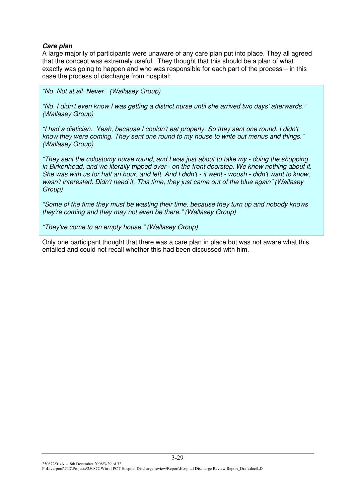#### *Care plan*

A large majority of participants were unaware of any care plan put into place. They all agreed that the concept was extremely useful. They thought that this should be a plan of what exactly was going to happen and who was responsible for each part of the process – in this case the process of discharge from hospital:

*"No. Not at all. Never." (Wallasey Group)*

*"No. I didn't even know I was getting a district nurse until she arrived two days'afterwards." (Wallasey Group)*

*"I had a dietician. Yeah, because I couldn't eat properly. So they sent one round. I didn't know they were coming. They sent one round to my house to write out menus and things." (Wallasey Group)*

*"They sent the colostomy nurse round, and I was just about to take my - doing the shopping in Birkenhead, and we literally tripped over - on the front doorstep. We knew nothing about it.* She was with us for half an hour, and left. And I didn't - it went - woosh - didn't want to know, *wasn't interested. Didn't need it. This time, they just came out of the blue again" (Wallasey Group)*

*"Some of the time they must be wasting their time, because they turn up and nobody knows they're coming and they may not even be there." (Wallasey Group)*

*"They've come to an empty house." (Wallasey Group)*

Only one participant thought that there was a care plan in place but was not aware what this entailed and could not recall whether this had been discussed with him.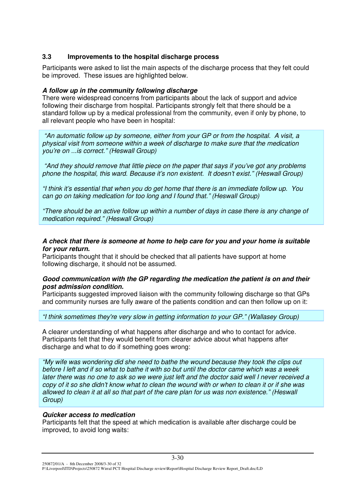#### **3.3 Improvements to the hospital discharge process**

Participants were asked to list the main aspects of the discharge process that they felt could be improved. These issues are highlighted below.

#### *A follow up in the community following discharge*

There were widespread concerns from participants about the lack of support and advice following their discharge from hospital. Participants strongly felt that there should be a standard follow up by a medical professional from the community, even if only by phone, to all relevant people who have been in hospital:

*"An automatic follow up by someone, either from your GP or from the hospital. A visit, a physical visit from someone within a week of discharge to make sure that the medication you're on ...is correct." (Heswall Group)*

*"And they should remove that little piece on the paper that says if you've got any problems phone the hospital, this ward. Because it's non existent. It doesn't exist." (Heswall Group)*

*"I think it's essential that when you do get home that there is an immediate follow up. You can go on taking medication for too long and I found that." (Heswall Group)*

*"There should be an active follow up within a number of days in case there is any change of medication required." (Heswall Group)*

#### *A check that there is someone at home to help care for you and your home is suitable for your return.*

Participants thought that it should be checked that all patients have support at home following discharge, it should not be assumed.

#### *Good communication with the GP regarding the medication the patient is on and their post admission condition.*

Participants suggested improved liaison with the community following discharge so that GPs and community nurses are fully aware of the patients condition and can then follow up on it:

*"I think sometimes they're very slow in getting information to your GP." (Wallasey Group)*

A clearer understanding of what happens after discharge and who to contact for advice. Participants felt that they would benefit from clearer advice about what happens after discharge and what to do if something goes wrong:

*"My wife was wondering did she need to bathe the wound because they took the clips out* before I left and if so what to bathe it with so but until the doctor came which was a week later there was no one to ask so we were just left and the doctor said well I never received a copy of it so she didn't know what to clean the wound with or when to clean it or if she was allowed to clean it at all so that part of the care plan for us was non existence." (Heswall *Group)*

#### *Quicker access to medication*

Participants felt that the speed at which medication is available after discharge could be improved, to avoid long waits: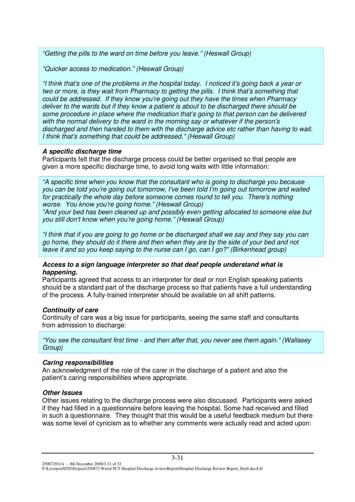*"Getting the pills to the ward on time before you leave." (Heswall Group)*

*"Quicker access to medication." (Heswall Group)*

"I think that's one of the problems in the hospital today. I noticed it's going back a year or *two or more, is they wait from Pharmacy to getting the pills. I think that's something that could be addressed. If they know you're going out they have the times when Pharmacy deliver to the wards but if they know a patient is about to be discharged there should be some procedure in place where the medication that's going to that person can be delivered with the normal delivery to the ward in the morning say or whatever if the person's discharged and then handed to them with the discharge advice etc rather than having to wait. I think that's something that could be addressed." (Heswall Group)*

#### *A specific discharge time*

Participants felt that the discharge process could be better organised so that people are given a more specific discharge time, to avoid long waits with little information:

*"A specific time when you know that the consultant who is going to discharge you because you can be told you're going out tomorrow, I've been told I'm going out tomorrow and waited for practically the whole day before someone comes round to tell you. There's nothing worse. You know you're going home." (Heswall Group)*

*"And your bed has been cleaned up and possibly even getting allocated to someone else but you still don't know when you're going home." (Heswall Group)*

"I think that if you are going to go home or be discharged shall we say and they say you can go home, they should do it there and then when they are by the side of your bed and not *leave it and so you keep saying to the nurse can I go, can I go?" (Birkenhead group)*

#### *Access to a sign language interpreter so that deaf people understand what is happening.*

Participants agreed that access to an interpreter for deaf or non English speaking patients should be a standard part of the discharge process so that patients have a full understanding of the process. A fully-trained interpreter should be available on all shift patterns.

#### *Continuity of care*

Continuity of care was a big issue for participants, seeing the same staff and consultants from admission to discharge:

*"You see the consultant first time - and then after that, you never see them again." (Wallasey Group)*

# *Caring responsibilities*

An acknowledgment of the role of the carer in the discharge of a patient and also the patient's caring responsibilities where appropriate.

#### *Other Issues*

Other issues relating to the discharge process were also discussed. Participants were asked if they had filled in a questionnaire before leaving the hospital. Some had received and filled in such a questionnaire. They thought that this would be a useful feedback medium but there was some level of cynicism as to whether any comments were actually read and acted upon:

250872/01/A - 8th December 2008/3-31 of 32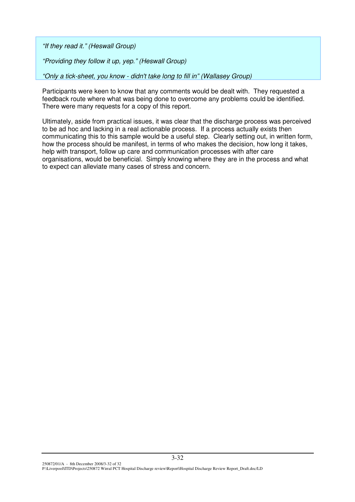*"If they read it." (Heswall Group)*

*"Providing they follow it up, yep." (Heswall Group)*

*"Only a tick-sheet, you know - didn't take long to fill in" (Wallasey Group)*

Participants were keen to know that any comments would be dealt with. They requested a feedback route where what was being done to overcome any problems could be identified. There were many requests for a copy of this report.

Ultimately, aside from practical issues, it was clear that the discharge process was perceived to be ad hoc and lacking in a real actionable process. If a process actually exists then communicating this to this sample would be a useful step. Clearly setting out, in written form, how the process should be manifest, in terms of who makes the decision, how long it takes, help with transport, follow up care and communication processes with after care organisations, would be beneficial. Simply knowing where they are in the process and what to expect can alleviate many cases of stress and concern.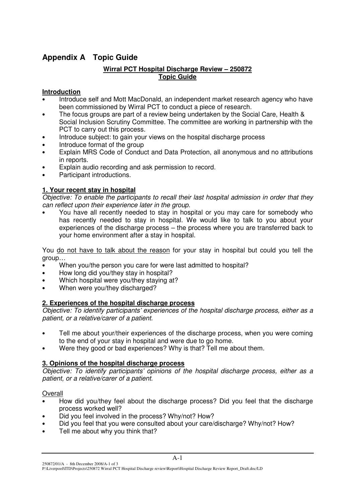# **Appendix A Topic Guide**

# **Wirral PCT Hospital Discharge Review – 250872 Topic Guide**

# **Introduction**

- Introduce self and Mott MacDonald, an independent market research agency who have been commissioned by Wirral PCT to conduct a piece of research.
- The focus groups are part of a review being undertaken by the Social Care, Health & Social Inclusion Scrutiny Committee. The committee are working in partnership with the PCT to carry out this process.
- Introduce subject: to gain your views on the hospital discharge process
- Introduce format of the group
- Explain MRS Code of Conduct and Data Protection, all anonymous and no attributions in reports.
- Explain audio recording and ask permission to record.
- Participant introductions.

# **1. Your recent stay in hospital**

*Objective: To enable the participants to recall their last hospital admission in order that they can reflect upon their experience later in the group.*

• You have all recently needed to stay in hospital or you may care for somebody who has recently needed to stay in hospital. We would like to talk to you about your experiences of the discharge process – the process where you are transferred back to your home environment after a stay in hospital.

You do not have to talk about the reason for your stay in hospital but could you tell the group…

- When you/the person you care for were last admitted to hospital?
- How long did you/they stay in hospital?
- Which hospital were you/they staying at?
- When were you/they discharged?

# **2. Experiences of the hospital discharge process**

*Objective: To identify participants' experiences of the hospital discharge process, either as a patient, or a relative/carer of a patient.*

- Tell me about your/their experiences of the discharge process, when you were coming to the end of your stay in hospital and were due to go home.
- Were they good or bad experiences? Why is that? Tell me about them.

# **3. Opinions of the hospital discharge process**

*Objective: To identify participants' opinions of the hospital discharge process, either as a patient, or a relative/carer of a patient.*

# **Overall**

- How did you/they feel about the discharge process? Did you feel that the discharge process worked well?
- Did you feel involved in the process? Why/not? How?
- Did you feel that you were consulted about your care/discharge? Why/not? How?
- Tell me about why you think that?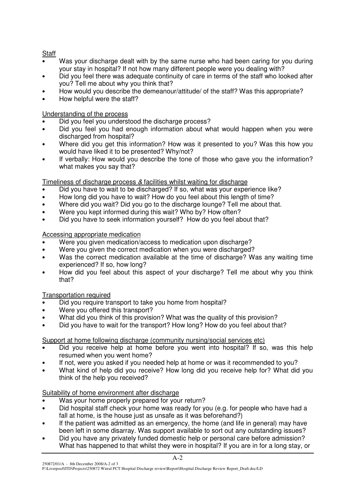# **Staff**

- Was your discharge dealt with by the same nurse who had been caring for you during your stay in hospital? If not how many different people were you dealing with?
- Did you feel there was adequate continuity of care in terms of the staff who looked after you? Tell me about why you think that?
- How would you describe the demeanour/attitude/ of the staff? Was this appropriate?
- How helpful were the staff?

# Understanding of the process

- Did you feel you understood the discharge process?
- Did you feel you had enough information about what would happen when you were discharged from hospital?
- Where did you get this information? How was it presented to you? Was this how you would have liked it to be presented? Why/not?
- If verbally: How would you describe the tone of those who gave you the information? what makes you say that?

# Timeliness of discharge process *&* facilities whilst waiting for discharge

- Did you have to wait to be discharged? If so, what was your experience like?
- How long did you have to wait? How do you feel about this length of time?
- Where did you wait? Did you go to the discharge lounge? Tell me about that.
- Were you kept informed during this wait? Who by? How often?
- Did you have to seek information yourself? How do you feel about that?

# Accessing appropriate medication

- Were you given medication/access to medication upon discharge?
- Were you given the correct medication when you were discharged?
- Was the correct medication available at the time of discharge? Was any waiting time experienced? If so, how long?
- How did you feel about this aspect of your discharge? Tell me about why you think that?

# Transportation required

- Did you require transport to take you home from hospital?
- Were you offered this transport?
- What did you think of this provision? What was the quality of this provision?
- Did you have to wait for the transport? How long? How do you feel about that?

# Support at home following discharge (community nursing/social services etc)

- Did you receive help at home before you went into hospital? If so, was this help resumed when you went home?
- If not, were you asked if you needed help at home or was it recommended to you?
- What kind of help did you receive? How long did you receive help for? What did you think of the help you received?

# Suitability of home environment after discharge

- Was your home properly prepared for your return?
- Did hospital staff check your home was ready for you (e.g. for people who have had a fall at home, is the house just as unsafe as it was beforehand?)
- If the patient was admitted as an emergency, the home (and life in general) may have been left in some disarray. Was support available to sort out any outstanding issues?
- Did you have any privately funded domestic help or personal care before admission? What has happened to that whilst they were in hospital? If you are in for a long stay, or

P:\Liverpool\ITD\Projects\250872 Wirral PCT Hospital Discharge review\Report\Hospital Discharge Review Report\_Draft.doc/LD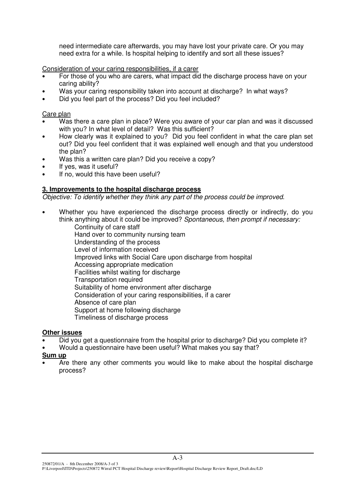need intermediate care afterwards, you may have lost your private care. Or you may need extra for a while. Is hospital helping to identify and sort all these issues?

Consideration of your caring responsibilities, if a carer

- For those of you who are carers, what impact did the discharge process have on your caring ability?
- Was your caring responsibility taken into account at discharge? In what ways?
- Did you feel part of the process? Did you feel included?

Care plan

- Was there a care plan in place? Were you aware of your car plan and was it discussed with you? In what level of detail? Was this sufficient?
- How clearly was it explained to you? Did you feel confident in what the care plan set out? Did you feel confident that it was explained well enough and that you understood the plan?
- Was this a written care plan? Did you receive a copy?
- If yes, was it useful?
- If no, would this have been useful?

#### **3. Improvements to the hospital discharge process**

*Objective: To identify whether they think any part of the process could be improved.*

- Whether you have experienced the discharge process directly or indirectly, do you think anything about it could be improved? *Spontaneous, then prompt if necessary:* Continuity of care staff Hand over to community nursing team
	- Understanding of the process Level of information received Improved links with Social Care upon discharge from hospital Accessing appropriate medication Facilities whilst waiting for discharge Transportation required Suitability of home environment after discharge Consideration of your caring responsibilities, if a carer Absence of care plan Support at home following discharge Timeliness of discharge process

#### **Other issues**

- Did you get a questionnaire from the hospital prior to discharge? Did you complete it?
- Would a questionnaire have been useful? What makes you say that?
- **Sum up**
- Are there any other comments you would like to make about the hospital discharge process?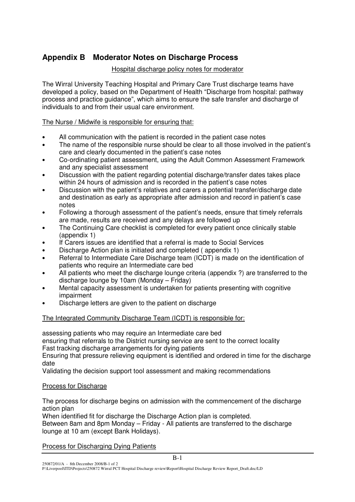# **Appendix B Moderator Notes on Discharge Process**

# Hospital discharge policy notes for moderator

The Wirral University Teaching Hospital and Primary Care Trust discharge teams have developed a policy, based on the Department of Health "Discharge from hospital: pathway process and practice guidance", which aims to ensure the safe transfer and discharge of individuals to and from their usual care environment.

# The Nurse / Midwife is responsible for ensuring that:

- All communication with the patient is recorded in the patient case notes
- The name of the responsible nurse should be clear to all those involved in the patient's care and clearly documented in the patient's case notes
- Co-ordinating patient assessment, using the Adult Common Assessment Framework and any specialist assessment
- Discussion with the patient regarding potential discharge/transfer dates takes place within 24 hours of admission and is recorded in the patient's case notes
- Discussion with the patient's relatives and carers a potential transfer/discharge date and destination as early as appropriate after admission and record in patient's case notes
- Following a thorough assessment of the patient's needs, ensure that timely referrals are made, results are received and any delays are followed up
- The Continuing Care checklist is completed for every patient once clinically stable (appendix 1)
- If Carers issues are identified that a referral is made to Social Services
- Discharge Action plan is initiated and completed ( appendix 1)
- Referral to Intermediate Care Discharge team (ICDT) is made on the identification of patients who require an Intermediate care bed
- All patients who meet the discharge lounge criteria (appendix ?) are transferred to the discharge lounge by 10am (Monday – Friday)
- Mental capacity assessment is undertaken for patients presenting with cognitive impairment
- Discharge letters are given to the patient on discharge

# The Integrated Community Discharge Team (ICDT) is responsible for:

assessing patients who may require an Intermediate care bed

ensuring that referrals to the District nursing service are sent to the correct locality

Fast tracking discharge arrangements for dying patients

Ensuring that pressure relieving equipment is identified and ordered in time for the discharge date

Validating the decision support tool assessment and making recommendations

# Process for Discharge

The process for discharge begins on admission with the commencement of the discharge action plan

B-1

When identified fit for discharge the Discharge Action plan is completed. Between 8am and 8pm Monday – Friday - All patients are transferred to the discharge lounge at 10 am (except Bank Holidays).

# Process for Discharging Dying Patients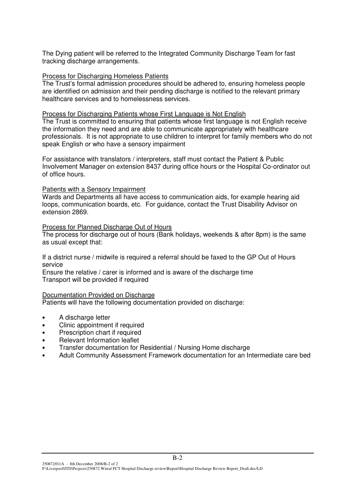The Dying patient will be referred to the Integrated Community Discharge Team for fast tracking discharge arrangements.

#### Process for Discharging Homeless Patients

The Trust's formal admission procedures should be adhered to, ensuring homeless people are identified on admission and their pending discharge is notified to the relevant primary healthcare services and to homelessness services.

#### Process for Discharging Patients whose First Language is Not English

The Trust is committed to ensuring that patients whose first language is not English receive the information they need and are able to communicate appropriately with healthcare professionals. It is not appropriate to use children to interpret for family members who do not speak English or who have a sensory impairment

For assistance with translators / interpreters, staff must contact the Patient & Public Involvement Manager on extension 8437 during office hours or the Hospital Co-ordinator out of office hours.

#### Patients with a Sensory Impairment

Wards and Departments all have access to communication aids, for example hearing aid loops, communication boards, etc. For guidance, contact the Trust Disability Advisor on extension 2869.

#### Process for Planned Discharge Out of Hours

The process for discharge out of hours (Bank holidays, weekends & after 8pm) is the same as usual except that:

If a district nurse / midwife is required a referral should be faxed to the GP Out of Hours service

Ensure the relative / carer is informed and is aware of the discharge time Transport will be provided if required

#### Documentation Provided on Discharge

Patients will have the following documentation provided on discharge:

- A discharge letter
- Clinic appointment if required
- Prescription chart if required
- Relevant Information leaflet
- Transfer documentation for Residential / Nursing Home discharge
- Adult Community Assessment Framework documentation for an Intermediate care bed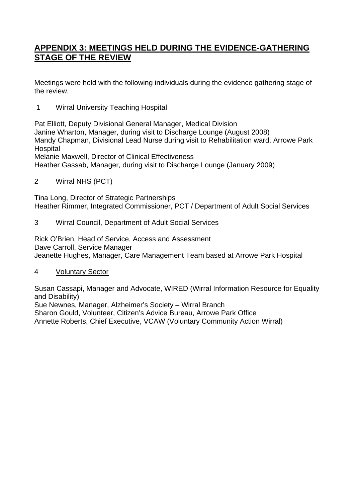# **APPENDIX 3: MEETINGS HELD DURING THE EVIDENCE-GATHERING STAGE OF THE REVIEW**

Meetings were held with the following individuals during the evidence gathering stage of the review.

# 1 Wirral University Teaching Hospital

Pat Elliott, Deputy Divisional General Manager, Medical Division Janine Wharton, Manager, during visit to Discharge Lounge (August 2008) Mandy Chapman, Divisional Lead Nurse during visit to Rehabilitation ward, Arrowe Park **Hospital** Melanie Maxwell, Director of Clinical Effectiveness

Heather Gassab, Manager, during visit to Discharge Lounge (January 2009)

2 Wirral NHS (PCT)

Tina Long, Director of Strategic Partnerships Heather Rimmer, Integrated Commissioner, PCT / Department of Adult Social Services

# 3 Wirral Council, Department of Adult Social Services

Rick O'Brien, Head of Service, Access and Assessment Dave Carroll, Service Manager Jeanette Hughes, Manager, Care Management Team based at Arrowe Park Hospital

# 4 Voluntary Sector

Susan Cassapi, Manager and Advocate, WIRED (Wirral Information Resource for Equality and Disability)

Sue Newnes, Manager, Alzheimer's Society – Wirral Branch Sharon Gould, Volunteer, Citizen's Advice Bureau, Arrowe Park Office Annette Roberts, Chief Executive, VCAW (Voluntary Community Action Wirral)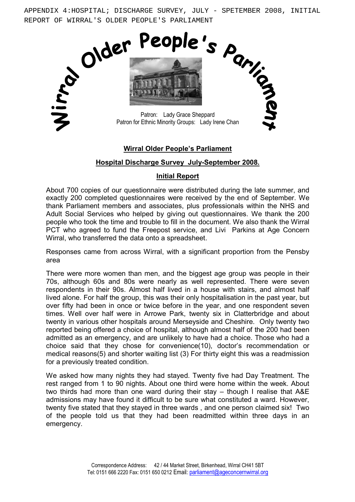APPENDIX 4:HOSPITAL; DISCHARGE SURVEY, JULY - SPETEMBER 2008, INITIAL REPORT OF WIRRAL'S OLDER PEOPLE'S PARLIAMENT



#### Wirral Older People's Parliament

#### Hospital Discharge Survey July-September 2008.

#### Initial Report

About 700 copies of our questionnaire were distributed during the late summer, and exactly 200 completed questionnaires were received by the end of September. We thank Parliament members and associates, plus professionals within the NHS and Adult Social Services who helped by giving out questionnaires. We thank the 200 people who took the time and trouble to fill in the document. We also thank the Wirral PCT who agreed to fund the Freepost service, and Livi Parkins at Age Concern Wirral, who transferred the data onto a spreadsheet.

Responses came from across Wirral, with a significant proportion from the Pensby area

There were more women than men, and the biggest age group was people in their 70s, although 60s and 80s were nearly as well represented. There were seven respondents in their 90s. Almost half lived in a house with stairs, and almost half lived alone. For half the group, this was their only hospitalisation in the past year, but over fifty had been in once or twice before in the year, and one respondent seven times. Well over half were in Arrowe Park, twenty six in Clatterbridge and about twenty in various other hospitals around Merseyside and Cheshire. Only twenty two reported being offered a choice of hospital, although almost half of the 200 had been admitted as an emergency, and are unlikely to have had a choice. Those who had a choice said that they chose for convenience(10), doctor's recommendation or medical reasons(5) and shorter waiting list (3) For thirty eight this was a readmission for a previously treated condition.

We asked how many nights they had stayed. Twenty five had Day Treatment. The rest ranged from 1 to 90 nights. About one third were home within the week. About two thirds had more than one ward during their stay – though I realise that A&E admissions may have found it difficult to be sure what constituted a ward. However, twenty five stated that they stayed in three wards , and one person claimed six! Two of the people told us that they had been readmitted within three days in an emergency.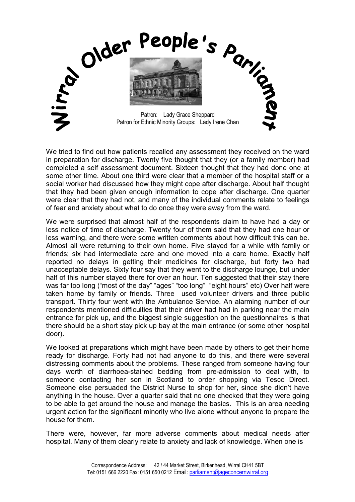

We tried to find out how patients recalled any assessment they received on the ward in preparation for discharge. Twenty five thought that they (or a family member) had completed a self assessment document. Sixteen thought that they had done one at some other time. About one third were clear that a member of the hospital staff or a social worker had discussed how they might cope after discharge. About half thought that they had been given enough information to cope after discharge. One quarter were clear that they had not, and many of the individual comments relate to feelings of fear and anxiety about what to do once they were away from the ward.

We were surprised that almost half of the respondents claim to have had a day or less notice of time of discharge. Twenty four of them said that they had one hour or less warning, and there were some written comments about how difficult this can be. Almost all were returning to their own home. Five stayed for a while with family or friends; six had intermediate care and one moved into a care home. Exactly half reported no delays in getting their medicines for discharge, but forty two had unacceptable delays. Sixty four say that they went to the discharge lounge, but under half of this number stayed there for over an hour. Ten suggested that their stay there was far too long ("most of the day" "ages" "too long" "eight hours" etc) Over half were taken home by family or friends. Three used volunteer drivers and three public transport. Thirty four went with the Ambulance Service. An alarming number of our respondents mentioned difficulties that their driver had had in parking near the main entrance for pick up, and the biggest single suggestion on the questionnaires is that there should be a short stay pick up bay at the main entrance (or some other hospital door).

We looked at preparations which might have been made by others to get their home ready for discharge. Forty had not had anyone to do this, and there were several distressing comments about the problems. These ranged from someone having four days worth of diarrhoea-stained bedding from pre-admission to deal with, to someone contacting her son in Scotland to order shopping via Tesco Direct. Someone else persuaded the District Nurse to shop for her, since she didn't have anything in the house. Over a quarter said that no one checked that they were going to be able to get around the house and manage the basics. This is an area needing urgent action for the significant minority who live alone without anyone to prepare the house for them.

There were, however, far more adverse comments about medical needs after hospital. Many of them clearly relate to anxiety and lack of knowledge. When one is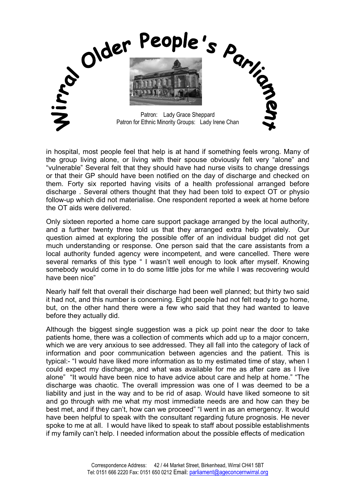

in hospital, most people feel that help is at hand if something feels wrong. Many of the group living alone, or living with their spouse obviously felt very "alone" and "vulnerable" Several felt that they should have had nurse visits to change dressings or that their GP should have been notified on the day of discharge and checked on them. Forty six reported having visits of a health professional arranged before discharge . Several others thought that they had been told to expect OT or physio follow-up which did not materialise. One respondent reported a week at home before the OT aids were delivered.

Only sixteen reported a home care support package arranged by the local authority, and a further twenty three told us that they arranged extra help privately. Our question aimed at exploring the possible offer of an individual budget did not get much understanding or response. One person said that the care assistants from a local authority funded agency were incompetent, and were cancelled. There were several remarks of this type " I wasn't well enough to look after myself. Knowing somebody would come in to do some little jobs for me while I was recovering would have been nice"

Nearly half felt that overall their discharge had been well planned; but thirty two said it had not, and this number is concerning. Eight people had not felt ready to go home, but, on the other hand there were a few who said that they had wanted to leave before they actually did.

Although the biggest single suggestion was a pick up point near the door to take patients home, there was a collection of comments which add up to a major concern, which we are very anxious to see addressed. They all fall into the category of lack of information and poor communication between agencies and the patient. This is typical:- "I would have liked more information as to my estimated time of stay, when I could expect my discharge, and what was available for me as after care as I live alone" "It would have been nice to have advice about care and help at home." "The discharge was chaotic. The overall impression was one of I was deemed to be a liability and just in the way and to be rid of asap. Would have liked someone to sit and go through with me what my most immediate needs are and how can they be best met, and if they can't, how can we proceed" "I went in as an emergency. It would have been helpful to speak with the consultant regarding future prognosis. He never spoke to me at all. I would have liked to speak to staff about possible establishments if my family can't help. I needed information about the possible effects of medication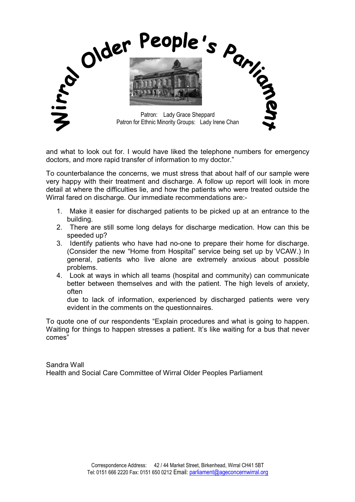

and what to look out for. I would have liked the telephone numbers for emergency doctors, and more rapid transfer of information to my doctor."

To counterbalance the concerns, we must stress that about half of our sample were very happy with their treatment and discharge. A follow up report will look in more detail at where the difficulties lie, and how the patients who were treated outside the Wirral fared on discharge. Our immediate recommendations are:-

- 1. Make it easier for discharged patients to be picked up at an entrance to the building.
- 2. There are still some long delays for discharge medication. How can this be speeded up?
- 3. Identify patients who have had no-one to prepare their home for discharge. (Consider the new "Home from Hospital" service being set up by VCAW.) In general, patients who live alone are extremely anxious about possible problems.
- 4. Look at ways in which all teams (hospital and community) can communicate better between themselves and with the patient. The high levels of anxiety, often

due to lack of information, experienced by discharged patients were very evident in the comments on the questionnaires.

To quote one of our respondents "Explain procedures and what is going to happen. Waiting for things to happen stresses a patient. It's like waiting for a bus that never comes"

Sandra Wall Health and Social Care Committee of Wirral Older Peoples Parliament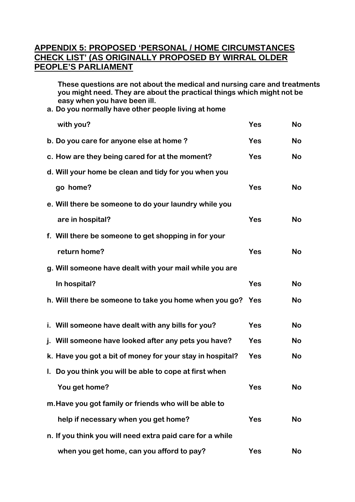# **APPENDIX 5: PROPOSED 'PERSONAL / HOME CIRCUMSTANCES CHECK LIST' (AS ORIGINALLY PROPOSED BY WIRRAL OLDER PEOPLE'S PARLIAMENT**

**These questions are not about the medical and nursing care and treatments you might need. They are about the practical things which might not be easy when you have been ill.** 

**a. Do you normally have other people living at home** 

| with you?                                                 | Yes        | <b>No</b> |
|-----------------------------------------------------------|------------|-----------|
| b. Do you care for anyone else at home?                   | <b>Yes</b> | <b>No</b> |
| c. How are they being cared for at the moment?            | <b>Yes</b> | <b>No</b> |
| d. Will your home be clean and tidy for you when you      |            |           |
| go home?                                                  | <b>Yes</b> | <b>No</b> |
| e. Will there be someone to do your laundry while you     |            |           |
| are in hospital?                                          | <b>Yes</b> | <b>No</b> |
| f. Will there be someone to get shopping in for your      |            |           |
| return home?                                              | Yes        | <b>No</b> |
| g. Will someone have dealt with your mail while you are   |            |           |
| In hospital?                                              | Yes        | <b>No</b> |
| h. Will there be someone to take you home when you go?    | Yes        | <b>No</b> |
|                                                           |            |           |
| i. Will someone have dealt with any bills for you?        | <b>Yes</b> | <b>No</b> |
| j. Will someone have looked after any pets you have?      | <b>Yes</b> | <b>No</b> |
| k. Have you got a bit of money for your stay in hospital? | <b>Yes</b> | <b>No</b> |
| I. Do you think you will be able to cope at first when    |            |           |
| You get home?                                             | Yes        | <b>No</b> |
| m. Have you got family or friends who will be able to     |            |           |
| help if necessary when you get home?                      | <b>Yes</b> | <b>No</b> |
| n. If you think you will need extra paid care for a while |            |           |
| when you get home, can you afford to pay?                 | <b>Yes</b> | No        |